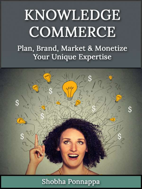# **KNOWLEDGE COMMERCE**

Plan, Brand, Market & Monetize Your Unique Expertise



# Shobha Ponnappa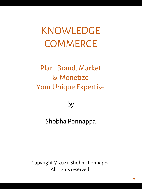KNOWLEDGE **COMMERCE** 

# Plan, Brand, Market & Monetize Your Unique Expertise

by

# Shobha Ponnappa

Copyright © 2021. Shobha Ponnappa All rights reserved.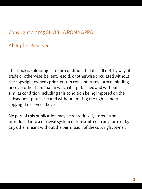# Copyright © 2019 SHOBHA PONNAPPA

## All Rights Reserved.

This book is sold subject to the condition that it shall not, by way of trade or otherwise, be lent, resold, or otherwise circulated without the copyright owner's prior written consent in any form of binding or cover other than that in which it is published and without a similar condition including this condition being imposed on the subsequent purchaser and without limiting the rights under copyright reserved above.

No part of this publication may be reproduced, stored in or introduced into a retrieval system or transmitted in any form or by any other means without the permission of the copyright owner.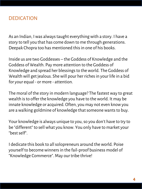#### **DEDICATION**

As an Indian, I was always taught everything with a story. I have a story to tell you that has come down to me through generations. Deepak Chopra too has mentioned this in one of his books.

Inside us are two Goddesses – the Goddess of Knowledge and the Goddess of Wealth. Pay more attention to the Goddess of Knowledge and spread her blessings to the world. The Goddess of Wealth will get jealous. She will pour her riches in your life in a bid for your equal - or more - attention.

The moral of the story in modern language? The fastest way to great wealth is to offer the knowledge you have to the world. It may be innate knowledge or acquired. Often, you may not even know you are a walking goldmine of knowledge that someone wants to buy.

Your knowledge is always unique to you, so you don't have to try to be "different" to sell what you know. You only have to market your "best self".

I dedicate this book to all solopreneurs around the world. Poise yourself to become winners in the fail-proof business model of "Knowledge Commerce". May our tribe thrive!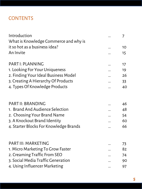## **CONTENTS**

| Introduction<br>What is Knowledge Commerce and why is | 7      |
|-------------------------------------------------------|--------|
| it so hot as a business idea?                         | 10     |
| An Invite                                             | 15     |
| <b>PARTI: PLANNING</b>                                | 17     |
| 1. Looking For Your Uniqueness                        | 19     |
| 2. Finding Your Ideal Business Model                  | 26     |
| 3. Creating A Hierarchy Of Products                   | 33     |
| 4. Types Of Knowledge Products                        | 40     |
| <b>PART II: BRANDING</b>                              | 46     |
| 1. Brand And Audience Selection                       | 48     |
| 2. Choosing Your Brand Name                           | 54     |
| 3. A Knockout Brand Identity                          | 60     |
| 4. Starter Blocks For Knowledge Brands                | 66     |
| <b>PART III: MARKETING</b>                            | 73     |
| 1. Micro Marketing To Grow Faster                     | 82     |
| 2. Creaming Traffic From SEO                          | 74     |
| 3. Social Media Traffic Generation                    | 90     |
| 4. Using Influencer Marketing                         | <br>97 |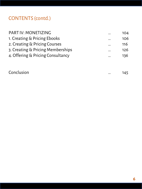# CONTENTS (contd.)

| PART IV: MONETIZING               | <br>104 |
|-----------------------------------|---------|
| 1. Creating & Pricing Ebooks      | <br>106 |
| 2. Creating & Pricing Courses     | <br>116 |
| 3. Creating & Pricing Memberships | <br>126 |
| 4. Offering & Pricing Consultancy | <br>136 |
|                                   |         |

| Conclusion<br> |  |
|----------------|--|
|----------------|--|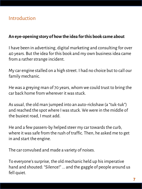#### **An eye-opening story of how the idea for this book came about**

I have been in advertising, digital marketing and consulting for over 40 years. But the idea for this book and my own business idea came from a rather strange incident.

My car engine stalled on a high street. I had no choice but to call our family mechanic.

He was a greying man of 70 years, whom we could trust to bring the car back home from wherever it was stuck.

As usual, the old man jumped into an auto-rickshaw (a "tuk-tuk") and reached the spot where I was stuck. We were in the middle of the busiest road, I must add.

He and a few passers-by helped steer my car towards the curb, where it was safe from the rush of traffic. Then, he asked me to get in and start the engine.

The car convulsed and made a variety of noises.

To everyone's surprise, the old mechanic held up his imperative hand and shouted: "Silence!" ... and the gaggle of people around us fell quiet.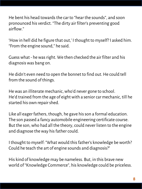He bent his head towards the car to "hear the sounds", and soon pronounced his verdict. "The dirty air filter's preventing good airflow."

'How in hell did he figure that out,' I thought to myself? I asked him. "From the engine sound," he said.

Guess what - he was right. We then checked the air filter and his diagnosis was bang on.

He didn't even need to open the bonnet to find out. He could tell from the sound of things.

He was an illiterate mechanic, who'd never gone to school. He'd trained from the age of eight with a senior car mechanic, till he started his own repair shed.

Like all eager fathers, though, he gave his son a formal education. The son passed a fancy automobile engineering certificate course. But the son, who had all the theory, could never listen to the engine and diagnose the way his father could.

I thought to myself: "What would this father's knowledge be worth? Could he teach the art of engine sounds and diagnosis?"

His kind of knowledge may be nameless. But, in this brave new world of "Knowledge Commerce", his knowledge could be priceless.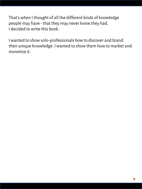That's when I thought of all the different kinds of knowledge people may have - that they may never know they had. I decided to write this book.

I wanted to show solo-professionals how to discover and brand their unique knowledge. I wanted to show them how to market and monetize it.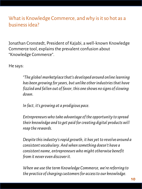# What is Knowledge Commerce, and why is it so hot as a business idea?

Jonathan Cronstedt, President of Kajabi, a well-known Knowledge Commerce tool, explains the prevalent confusion about "Knowledge Commerce".

He says:

*"The global marketplace that's developed around online learning has been growing for years, but unlike other industries that have fizzled and fallen out of favor, this one shows no signs of slowing down.*

*In fact, it's growing at a prodigious pace.*

*Entrepreneurs who take advantage of the opportunity to spread their knowledge and to get paid for creating digital products will reap the rewards.* 

*Despite this industry's rapid growth, it has yet to revolve around a consistent vocabulary. And when something doesn't have a consistent name, entrepreneurs who might otherwise benefit from it never even discover it.*

*When we use the term Knowledge Commerce, we're referring to the practice of charging customers for access to our knowledge.*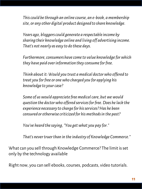*This could be through an online course, an e-book, a membership site, or any other digital product designed to share knowledge.*

*Years ago, bloggers could generate a respectable income by sharing their knowledge online and living off advertising income. That's not nearly as easy to do these days.*

*Furthermore, consumers have come to value knowledge for which they have paid over information they consume for free.*

*Think about it: Would you trust a medical doctor who offered to treat you for free or one who charged you for applying his knowledge to your case?* 

*Some of us would appreciate free medical care, but we would question the doctor who offered services for free. Does he lack the experience necessary to charge for his services? Has he been censured or otherwise criticized for his methods in the past?* 

*You've heard the saying, "You get what you pay for."* 

*That's never truer than in the industry of Knowledge Commerce."*

What can you sell through Knowledge Commerce? The limit is set only by the technology available

Right now, you can sell ebooks, courses, podcasts, video tutorials.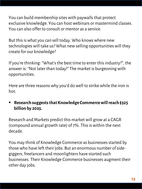You can build membership sites with paywalls that protect exclusive knowledge. You can host webinars or mastermind classes. You can also offer to consult or mentor as a service.

But this is what you can sell today. Who knows where new technologies will take us? What new selling opportunities will they create for our knowledge?

If you're thinking: "What's the best time to enter this industry?", the answer is: "Not later than today!" The market is burgeoning with opportunities.

Here are three reasons why you'd do well to strike while the iron is hot:

▪ **Research suggests that Knowledge Commerce will reach \$325 billion by 2025.**

Research and Markets predict this market will grow at a CAGR (compound annual growth rate) of 7%. This is within the next decade.

You may think of Knowledge Commerce as businesses started by those who have left their jobs. But an enormous number of sidegiggers, freelancers and moonlighters have started such businesses. Their Knowledge Commerce businesses augment their other day jobs.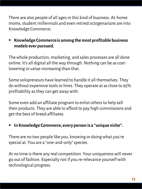There are also people of all ages in this kind of business. At-home moms, student millennials and even retired octogenarians are into Knowledge Commerce.

#### ■ Knowledge Commerce is among the most profitable business **models ever pursued.**

The whole production, marketing, and sales processes are all done online. It's all digital all the way through. Nothing can be as costlowering or value-increasing than that.

Some solopreneurs have learned to handle it all themselves. They do without expensive tools or hires. They operate at as close to 95% profitability as they can get away with.

Some even add an affiliate program to enlist others to help sell their products. They are able to afford to pay high commissions and get the best of breed affiliates.

#### In Knowledge Commerce, every person is a "unique niche".

There are no two people like you, knowing or doing what you're special at. You are a "one-and-only" species.

At no time is there any real competition. Your uniqueness will never go out of fashion. Especially not if you re-relevance yourself with technological progress.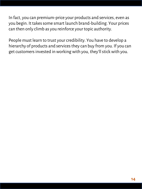In fact, you can premium-price your products and services, even as you begin. It takes some smart launch brand-building. Your prices can then only climb as you reinforce your topic authority.

People must learn to trust your credibility. You have to develop a hierarchy of products and services they can buy from you. If you can get customers invested in working with you, they'll stick with you.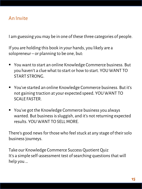### An Invite

I am guessing you may be in one of these three categories of people.

If you are holding this book in your hands, you likely are a solopreneur – or planning to be one, but:

- You want to start an online Knowledge Commerce business. But you haven't a clue what to start or how to start. YOU WANT TO START STRONG.
- You've started an online Knowledge Commerce business. But it's not gaining traction at your expected speed. YOU WANT TO SCALE FASTER.
- You've got the Knowledge Commerce business you always wanted. But business is sluggish, and it's not returning expected results. YOU WANT TO SELL MORE.

There's good news for those who feel stuck at any stage of their solo business journeys.

Take our Knowledge Commerce Success Quotient Quiz It's a simple self-assessment test of searching questions that will help you …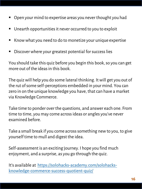- $\blacksquare$  Open your mind to expertise areas you never thought you had
- Unearth opportunities it never occurred to you to exploit
- Know what you need to do to monetize your unique expertise
- Discover where your greatest potential for success lies

You should take this quiz before you begin this book, so you can get more out of the ideas in this book.

The quiz will help you do some lateral thinking. It will get you out of the rut of some self-perceptions embedded in your mind. You can zero in on the unique knowledge you have, that can have a market via Knowledge Commerce.

Take time to ponder over the questions, and answer each one. From time to time, you may come across ideas or angles you've never examined before.

Take a small break if you come across something new to you, to give yourself time to mull and digest the idea.

Self-assessment is an exciting journey. I hope you find much enjoyment, and a surprise, as you go through the quiz.

It's available at https://solohacks-academy.com/solohacks[knowledge-commerce-success-quotient-quiz/](https://solohacks-academy.com/solohacks-knowledge-commerce-success-quotient-quiz/)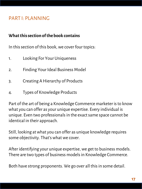## PART I: PLANNING

#### **What this section of the book contains**

In this section of this book, we cover four topics:

- 1. Looking For Your Uniqueness
- 2. Finding Your Ideal Business Model
- 3. Creating A Hierarchy of Products
- 4. Types of Knowledge Products

Part of the art of being a Knowledge Commerce marketer is to know what you can offer as your unique expertise. Every individual is unique. Even two professionals in the exact same space cannot be identical in their approach.

Still, looking at what you can offer as unique knowledge requires some objectivity. That's what we cover.

After identifying your unique expertise, we get to business models. There are two types of business models in Knowledge Commerce.

Both have strong proponents. We go over all this in some detail.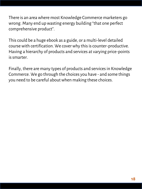There is an area where most Knowledge Commerce marketers go wrong. Many end up wasting energy building "that one perfect comprehensive product".

This could be a huge ebook as a guide, or a multi-level detailed course with certification. We cover why this is counter-productive. Having a hierarchy of products and services at varying price-points is smarter.

Finally, there are many types of products and services in Knowledge Commerce. We go through the choices you have - and some things you need to be careful about when making these choices.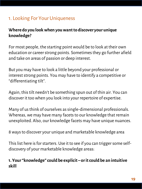# 1. Looking For Your Uniqueness

#### **Where do you look when you want to discover your unique knowledge?**

For most people, the starting point would be to look at their own education or career strong points. Sometimes they go further afield and take on areas of passion or deep interest.

But you may have to look a little beyond your professional or interest strong points. You may have to identify a competitive or "differentiating tilt".

Again, this tilt needn't be something spun out of thin air. You can discover it too when you look into your repertoire of expertise.

Many of us think of ourselves as single-dimensional professionals. Whereas, we may have many facets to our knowledge that remain unexploited. Also, our knowledge facets may have unique nuances.

8 ways to discover your unique and marketable knowledge area

This list here is for starters. Use it to see if you can trigger some selfdiscovery of your marketable knowledge areas:

#### **1. Your "knowledge" could be explicit – or it could be an intuitive skill**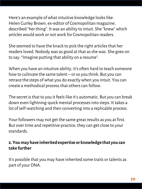Here's an example of what intuitive knowledge looks like: Helen Gurley Brown, ex-editor of Cosmopolitan magazine, described "her thing". It was an ability to intuit. She "knew" which articles would work or not work for Cosmopolitan readers.

She seemed to have the knack to pick the right articles that her readers loved. Nobody was as good at that as she was. She goes on to say: "Imagine putting that ability on a resume".

When you have an intuitive ability, it's often hard to teach someone how to cultivate the same talent – or so you think. But you can retrace the steps of what you do exactly when you intuit. You can create a methodical process that others can follow.

The secret is that to you it feels like it's automatic. But you can break down even lightning-quick mental processes into steps. It takes a lot of self-watching and then converting into a replicable process.

Your followers may not get the same great results as you at first. But over time and repetitive practice, they can get close to your standards.

#### **2. You may have inherited expertise or knowledge that you can take further**

It's possible that you may have inherited some traits or talents as part of your DNA.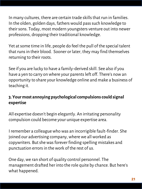In many cultures, there are certain trade skills that run in families. In the olden, golden days, fathers would pass such knowledge to their sons. Today, most modern youngsters venture out into newer professions, dropping their traditional knowledge.

Yet at some time in life, people do feel the pull of the special talent that runs in their blood. Sooner or later, they may find themselves returning to their roots.

See if you are lucky to have a family-derived skill. See also if you have a yen to carry on where your parents left off. There's now an opportunity to share your knowledge online and make a business of teaching it.

#### **3. Your most annoying psychological compulsions could signal expertise**

All expertise doesn't begin elegantly. An irritating personality compulsion could become your unique expertise area.

I remember a colleague who was an incorrigible fault-finder. She joined our advertising company, where we all worked as copywriters. But she was forever finding spelling mistakes and punctuation errors in the work of the rest of us.

One day, we ran short of quality control personnel. The management drafted her into the role quite by chance. But here's what happened.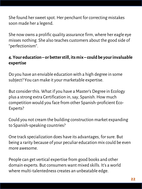She found her sweet spot. Her penchant for correcting mistakes soon made her a legend.

She now owns a prolific quality assurance firm, where her eagle eye misses nothing. She also teaches customers about the good side of "perfectionism".

#### **4. Your education – or better still, its mix – could be your invaluable expertise**

Do you have an enviable education with a high degree in some subject? You can make it your marketable expertise.

But consider this. What if you have a Master's Degree in Ecology plus a strong extra Certification in, say, Spanish. How much competition would you face from other Spanish-proficient Eco-Experts?

Could you not cream the building construction market expanding to Spanish-speaking countries?

One track specialization does have its advantages, for sure. But being a rarity because of your peculiar education mix could be even more awesome.

People can get vertical expertise from good books and other domain experts. But consumers want mixed skills. It's a world where multi-talentedness creates an unbeatable edge.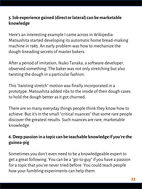#### **5. Job experience gained (direct or lateral) can be marketable knowledge**

Here's an interesting example I came across in Wikipedia: Matsushita started developing its automatic home bread-making machine in 1985. An early problem was how to mechanize the dough-kneading secrets of master bakers.

After a period of imitation, Ikuko Tanaka, a software developer, observed something. The baker was not only stretching but also twisting the dough in a particular fashion.

This "twisting stretch" motion was finally incorporated in a prototype. Matsushita added ribs to the inside of their dough cases to hold the dough better as it got churned.

There are so many everyday things people think they know how to achieve. But it's in the small "critical nuances" that some rare people discover the greatest results. Such nuances are rare, marketable knowledge.

#### **6. Deep passion in a topic can be teachable knowledge if you're the guinea-pig**

Sometimes you don't even need to be a knowledgeable expert to get a great following. You can be a "go-to guy" if you have a passion for a topic that you've never tried before. You could teach people how your fumbling experiments can help them.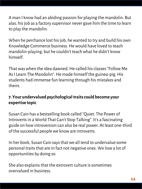A man I know had an abiding passion for playing the mandolin. But alas, his job as a factory supervisor never gave him the time to learn to play the mandolin.

When he perchance lost his job, he wanted to try and build his own Knowledge Commerce business. He would have loved to teach mandolin-playing, but he couldn't teach what he didn't know himself.

That was when the idea dawned. He called his classes "Follow Me As I Learn The Mandolin". He made himself the guinea-pig. His students had immense fun learning through his mistakes and theirs.

#### **7. Your undervalued psychological traits could become your expertise topic**

Susan Cain has a bestselling book called "Quiet: The Power of Introverts in a World That Can't Stop Talking". It's a fascinating guide on how introversion can also be real power. At least one-third of the successful people we know are introverts.

In her book, Susan Cain says that we all tend to undervalue some personal traits that are in fact not negative ones. We lose a lot of opportunities by doing so.

She also explains that the extrovert culture is sometimes overvalued in business.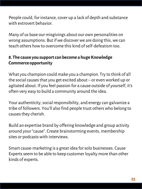People could, for instance, cover up a lack of depth and substance with extrovert behavior.

Many of us base our misgivings about our own personalities on wrong assumptions. But if we discover we are doing this, we can teach others how to overcome this kind of self-defeatism too.

#### **8. The cause you support can become a huge Knowledge Commerce opportunity**

What you champion could make you a champion. Try to think of all the social causes that you get excited about – or even worked up or agitated about. If you feel passion for a cause outside of yourself, it's often very easy to build a community around the idea.

Your authenticity, social responsibility, and energy can galvanize a tribe of followers. You'll also find people trust others who belong to causes they cherish.

Build an expertise brand by offering knowledge and group activity around your "cause". Create brainstorming events, membership sites or podcasts with interviews.

Smart cause-marketing is a great idea for solo businesses. Cause Experts seem to be able to keep customer loyalty more than other kinds of experts.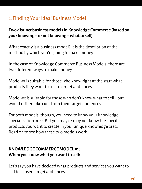# 2. Finding Your Ideal Business Model

#### **Two distinct business models in Knowledge Commerce (based on your knowing – or not knowing –what to sell)**

What exactly is a business model? It is the description of the method by which you're going to make money.

In the case of Knowledge Commerce Business Models, there are two different ways to make money.

Model #1 is suitable for those who know right at the start what products they want to sell to target audiences.

Model #2 is suitable for those who don't know what to sell - but would rather take cues from their target audiences.

For both models, though, you need to know your knowledge specialization area. But you may or may not know the specific products you want to create in your unique knowledge area. Read on to see how these two models work.

#### **KNOWLEDGE COMMERCE MODEL #1: When you know what you want to sell:**

Let's say you have decided what products and services you want to sell to chosen target audiences.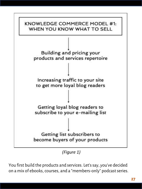

*(Figure 1)*

You first build the products and services. Let's say, you've decided on a mix of ebooks, courses, and a "members-only" podcast series.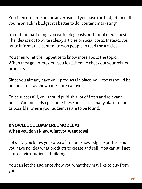You then do some online advertising if you have the budget for it. If you're on a slim budget it's better to do "content marketing".

In content marketing, you write blog posts and social media posts. The idea is not to write sales-y articles or social posts. Instead, you write informative content to woo people to read the articles.

You then whet their appetite to know more about the topic. When they get interested, you lead them to check out your related products.

Since you already have your products in place, your focus should be on four steps as shown in Figure 1 above.

To be successful, you should publish a lot of fresh and relevant posts. You must also promote these posts in as many places online as possible, where your audiences are to be found.

#### **KNOWLEDGE COMMERCE MODEL #2: When you don't know what you want to sell:**

Let's say, you know your area of unique knowledge expertise - but you have no idea what products to create and sell. You can still get started with audience-building.

You can let the audience show you what they may like to buy from you.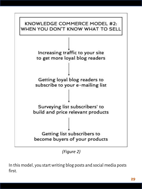

*(Figure 2)*

In this model, you start writing blog posts and social media posts first.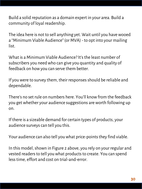Build a solid reputation as a domain expert in your area. Build a community of loyal readership.

The idea here is not to sell anything yet. Wait until you have wooed a "Minimum Viable Audience" (or MVA) - to opt into your mailing list.

What is a Minimum Viable Audience? It's the least number of subscribers you need who can give you quantity and quality of feedback on how you can serve them better.

If you were to survey them, their responses should be reliable and dependable.

There's no set rule on numbers here. You'll know from the feedback you get whether your audience suggestions are worth following up on.

If there is a sizeable demand for certain types of products, your audience surveys can tell you this.

Your audience can also tell you what price-points they find viable.

In this model, shown in Figure 2 above, you rely on your regular and vested readers to tell you what products to create. You can spend less time, effort and cost on trial-and-error.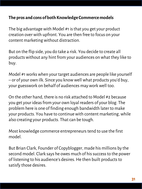#### **The pros and cons of both Knowledge Commerce models**

The big advantage with Model #1 is that you get your product creation over with upfront. You are then free to focus on your content marketing without distraction.

But on the flip side, you do take a risk. You decide to create all products without any hint from your audiences on what they like to buy.

Model #1 works when your target audiences are people like yourself – or of your own ilk. Since you know well what products you'd buy, your guesswork on behalf of audiences may work well too.

On the other hand, there is no risk attached to Model #2 because you get your ideas from your own loyal readers of your blog. The problem here is one of finding enough bandwidth later to make your products. You have to continue with content marketing, while also creating your products. That can be tough.

Most knowledge commerce entrepreneurs tend to use the first model.

But Brian Clark, Founder of Copyblogger, made his millions by the second model. Clark says he owes much of his success to the power of listening to his audience's desires. He then built products to satisfy those desires.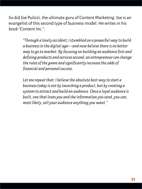So did Joe Pulizzi, the ultimate guru of Content Marketing. Joe is an evangelist of this second type of business model. He writes in his book "Content Inc.":

> *"Through a lovely accident, I stumbled on a powerful way to build a business in the digital age—and now believe there is no better way to go to market. By focusing on building an audience first and defining products and services second, an entrepreneur can change the rules of the game and significantly increase the odds of financial and personal success.*

*Let me repeat that: I believe the absolute best way to start a business today is not by launching a product, but by creating a system to attract and build an audience. Once a loyal audience is built, one that loves you and the information you send, you can, most likely, sell your audience anything you want."*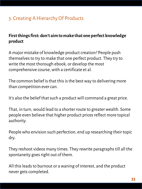# 3. Creating A Hierarchy Of Products

#### **First things first: don't aim to make that one perfect knowledge product**

A major mistake of knowledge product creation? People push themselves to try to make that one perfect product. They try to write the most thorough ebook, or develop the most comprehensive course, with a certificate et al.

The common belief is that this is the best way to delivering more than competition ever can.

It's also the belief that such a product will command a great price.

That, in turn, would lead to a shorter route to greater wealth. Some people even believe that higher product prices reflect more topical authority.

People who envision such perfection, end up researching their topic dry.

They reshoot videos many times. They rewrite paragraphs till all the spontaneity goes right out of them.

All this leads to burnout or a waning of interest, and the product never gets completed.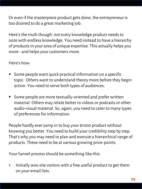Or even if the masterpiece product gets done, the entrepreneur is too drained to do a great marketing job.

Here's the truth though: not every knowledge product needs to ooze with endless knowledge. You need instead to have a hierarchy of products in your area of unique expertise. This actually helps you more - and helps your customers more.

Here's how:

- $\blacksquare$  Some people want quick practical information on a specific topic. Others want to understand theory more before they begin action. You need to serve both types of audiences.
- Some people are more textually-oriented and prefer written material. Others may relate better to videos or podcasts or other audio-visual material. So, again, you need to cater to many types of preferences for information.

People hardly ever jump in to buy your \$1000 product without knowing you better. You need to build your credibility step by step. That's why you may need to plan and execute a hierarchical range of products. These need to be at various growing price-points.

Your funnel process should be something like this:

1. Initially woo site visitors with a free useful product to get them on your email lists.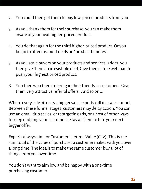- 2. You could then get them to buy low-priced products from you.
- 3. As you thank them for their purchase, you can make them aware of your next higher-priced product.
- 4. You do that again for the third higher-priced product. Or you begin to offer discount deals on "product bundles".
- 5. As you scale buyers on your products and services ladder, you then give them an irresistible deal. Give them a free webinar, to push your highest priced product.
- 6. You then woo them to bring in their friends as customers. Give them very attractive referral offers. And so on …

Where every sale attracts a bigger sale, experts call it a sales funnel. Between these funnel stages, customers may delay action. You can use an email drip series, or retargeting ads, or a host of other ways to keep nudging your customers. Stay at them to bite your next bigger offer.

Experts always aim for Customer Lifetime Value (CLV). This is the sum total of the value of purchases a customer makes with you over a long time. The idea is to make the same customer buy a lot of things from you over time.

You don't want to aim low and be happy with a one-time purchasing customer.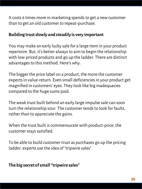It costs 6 times more in marketing spends to get a new customer than to get an old customer to repeat-purchase.

#### **Building trust slowly and steadily is very important**

You may make an early lucky sale for a large item in your product repertoire. But, it's better always to aim to begin the relationship with low-priced products and go up the ladder. There are distinct advantages to this method. Here's why.

The bigger the price label on a product, the more the customer expects in value-return. Even small deficiencies in your product get magnified in customers' eyes. They look like big inadequacies compared to the huge sums paid.

The weak trust built behind an early large impulse sale can soon turn the relationship sour. The customer tends to look for faults, rather than to appreciate the gains.

When the trust built is commensurate with product-price, the customer stays satisfied.

To be able to build customer trust as purchases go up the pricing ladder, experts use the idea of "tripwire sales".

#### **The big secret of small "tripwire sales"**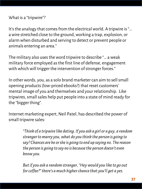```
What is a "tripwire"?
```
It's the analogy that comes from the electrical world. A tripwire is "… a wire stretched close to the ground, working a trap, explosion, or alarm when disturbed and serving to detect or prevent people or animals entering an area."

The military also uses the word tripwire to describe "… a weak military force employed as the first line of defense, engagement with which will trigger the intervention of stronger forces."

In other words, you, as a solo brand marketer can aim to sell small opening products (low-priced ebooks?) that reset customers' mental image of you and themselves and your relationship. Like tripwires, small sales help put people into a state of mind ready for the "bigger thing".

Internet marketing expert, Neil Patel, has described the power of small tripwire sales:

> *"Think of a tripwire like dating. If you ask a girl or a guy, a random stranger to marry you, what do you think the person is going to say? Chances are he or she is going to end up saying no. The reason the person is going to say no is because the person doesn't even know you.*

*But if you ask a random stranger, "Hey would you like to go out for coffee?" there's a much higher chance that you'll get a yes.*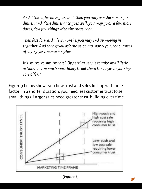*And if the coffee date goes well, then you may ask the person for dinner, and if the dinner date goes well, you may go on a few more dates, do a few things with the chosen one.* 

*Then fast forward a few months, you may end up moving in together. And then if you ask the person to marry you, the chances of saying yes are much higher.* 

*It's "micro-commitments". By getting people to take small little actions, you're much more likely to get them to say yes to your big core offer."*

Figure 3 below shows you how trust and sales link up with time factor. In a shorter duration, you need less customer trust to sell small things. Larger sales need greater trust-building over time.

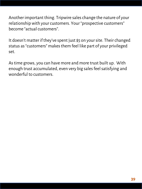Another important thing. Tripwire sales change the nature of your relationship with your customers. Your "prospective customers" become "actual customers".

It doesn't matter if they've spent just \$5 on your site. Their changed status as "customers" makes them feel like part of your privileged set.

As time grows, you can have more and more trust built up. With enough trust accumulated, even very big sales feel satisfying and wonderful to customers.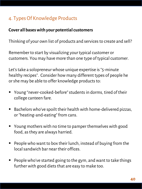# 4. Types Of Knowledge Products

### **Cover all bases with your potential customers**

Thinking of your own list of products and services to create and sell?

Remember to start by visualizing your typical customer or customers. You may have more than one type of typical customer.

Let's take a solopreneur whose unique expertise is "5-minute healthy recipes". Consider how many different types of people he or she may be able to offer knowledge products to:

- Young "never-cooked-before" students in dorms, tired of their college canteen fare.
- Bachelors who've spoilt their health with home-delivered pizzas, or "heating-and-eating" from cans.
- Young mothers with no time to pamper themselves with good food, as they are always harried.
- $\blacksquare$  People who want to box their lunch, instead of buying from the local sandwich bar near their offices.
- $\blacksquare$  People who've started going to the gym, and want to take things further with good diets that are easy to make too.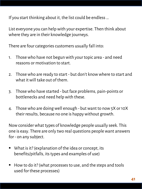If you start thinking about it, the list could be endless …

List everyone you can help with your expertise. Then think about where they are in their knowledge journeys.

There are four categories customers usually fall into:

- 1. Those who have not begun with your topic area and need reasons or motivation to start.
- 2. Those who are ready to start but don't know where to start and what it will take out of them.
- 3. Those who have started but face problems, pain-points or bottlenecks and need help with these.
- 4. Those who are doing well enough but want to now 5X or 10X their results, because no one is happy without growth.

Now consider what types of knowledge people usually seek. This one is easy. There are only two real questions people want answers for - on any subject.

- What is it? (explanation of the idea or concept, its benefits/pitfalls, its types and examples of use)
- How to do it? (what processes to use, and the steps and tools used for these processes)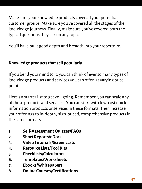Make sure your knowledge products cover all your potential customer groups. Make sure you've covered all the stages of their knowledge journeys. Finally, make sure you've covered both the typical questions they ask on any topic.

You'll have built good depth and breadth into your repertoire.

# **Knowledge products that sell popularly**

If you bend your mind to it, you can think of ever so many types of knowledge products and services you can offer, at varying price points.

Here's a starter list to get you going. Remember, you can scale any of these products and services. You can start with low-cost quick information products or services in these formats. Then increase your offerings to in-depth, high-priced, comprehensive products in the same formats.

- **1. Self-Assessment Quizzes/FAQs**
- **2. Short Reports/eDocs**
- **3. Video Tutorials/Screencasts**
- **4. Resource Lists/Tool Kits**
- **5. Checklists/Calculators**
- **6. Templates/Worksheets**
- **7. Ebooks/Whitepapers**
- **8. Online Courses/Certifications**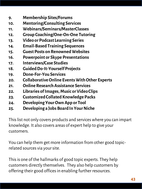- **9. Membership Sites/Forums**
- **10. Mentoring/Consulting Services**
- **11. Webinars/Seminars/MasterClasses**
- **12. Group Coaching/One-On-One Tutoring**
- **13. Video or Podcast Learning Series**
- **14. Email-Based Training Sequences**
- **15. Guest Posts on Renowned Websites**
- **16. Powerpoint or Skype Presentations**
- **17. Interviews/Case Studies**
- **18. Guided Do-It-Yourself Projects**
- **19. Done-For-You Services**
- **20. Collaborative Online Events With Other Experts**
- **21. Online Research Assistance Services**
- **22. Libraries of Images, Music or Video Clips**
- **23. Customized Collated Knowledge Packs**
- **24. Developing Your Own App or Tool**
- **25. Developing a Jobs Board In Your Niche**

This list not only covers products and services where you can impart knowledge. It also covers areas of expert help to give your customers.

You can help them get more information from other good topicrelated sources via your site.

This is one of the hallmarks of good topic experts. They help customers directly themselves. They also help customers by offering their good offices in enabling further resources.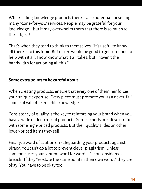While selling knowledge products there is also potential for selling many "done-for-you" services. People may be grateful for your knowledge – but it may overwhelm them that there is so much to the subject!

That's when they tend to think to themselves: "It's useful to know all there is to this topic. But it sure would be good to get someone to help with it all. I now know what it all takes, but I haven't the bandwidth for actioning all this."

### **Some extra points to be careful about**

When creating products, ensure that every one of them reinforces your unique expertise. Every piece must promote you as a never-fail source of valuable, reliable knowledge.

Consistency of quality is the key to reinforcing your brand when you have a wide or deep mix of products. Some experts are ultra-careful with some high-priced products. But their quality slides on other lower-priced items they sell.

Finally, a word of caution on safeguarding your products against piracy. You can't do a lot to prevent clever plagiarism. Unless someone uses your content word for word, it's not considered a breach. If they "re-state the same point in their own words" they are okay. You have to be okay too.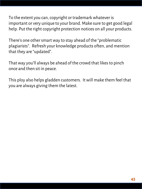To the extent you can, copyright or trademark whatever is important or very unique to your brand. Make sure to get good legal help. Put the right copyright protection notices on all your products.

There's one other smart way to stay ahead of the "problematic plagiarists". Refresh your knowledge products often, and mention that they are "updated".

That way you'll always be ahead of the crowd that likes to pinch once and then sit in peace.

This ploy also helps gladden customers. It will make them feel that you are always giving them the latest.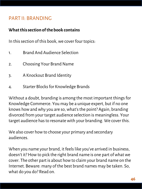# PART II: BRANDING

#### **What this section of the book contains**

In this section of this book, we cover four topics:

- 1. Brand And Audience Selection
- 2. Choosing Your Brand Name
- 3. A Knockout Brand Identity
- 4. Starter Blocks for Knowledge Brands

Without a doubt, branding is among the most important things for Knowledge Commerce. You may be a unique expert, but if no one knows how and why you are so, what's the point? Again, branding divorced from your target audience selection is meaningless. Your target audience has to resonate with your branding. We cover this.

We also cover how to choose your primary and secondary audiences.

When you name your brand, it feels like you've arrived in business, doesn't it? How to pick the right brand name is one part of what we cover. The other part is about how to claim your brand name on the Internet. Beware: many of the best brand names may be taken. So, what do you do? Read on.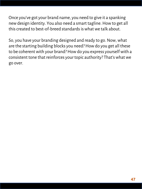Once you've got your brand name, you need to give it a spanking new design identity. You also need a smart tagline. How to get all this created to best-of-breed standards is what we talk about.

So, you have your branding designed and ready to go. Now, what are the starting building blocks you need? How do you get all these to be coherent with your brand? How do you express yourself with a consistent tone that reinforces your topic authority? That's what we go over.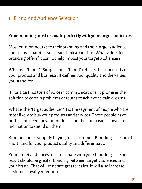# 1. Brand And Audience Selection

#### **Your branding must resonate perfectly with your target audiences**

Most entrepreneurs see their branding and their target audience choices as separate issues. But think about this. What value does branding offer if it cannot help impact your target audiences?

What is a "brand"? Simply put, a "brand" reflects the superiority of your product and business. It defines your quality and the values you stand for.

It has a distinct tone of voice in communications. It promises the solution to certain problems or routes to achieve certain dreams.

What is the "target audience"? It is the segment of people who are most likely to buy your products and services. These people have both ... the need for your products and the purchasing-power and inclination to spend on them.

Branding helps simplify buying for a customer. Branding is a kind of shorthand for your product quality and differentiation.

Your target audiences must resonate with your branding. The net result should be greater bonding between target audiences and your brand. That will generate greater sales. It will also increase customer-loyalty retention.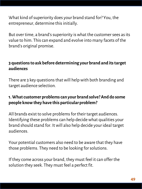What kind of superiority does your brand stand for? You, the entrepreneur, determine this initially.

But over time, a brand's superiority is what the customer sees as its value to him. This can expand and evolve into many facets of the brand's original promise.

# **3 questions to ask before determining your brand and its target audiences**

There are 3 key questions that will help with both branding and target audience selection.

## **1. What customer problems can your brand solve? And do some people know they have this particular problem?**

All brands exist to solve problems for their target audiences. Identifying these problems can help decide what qualities your brand should stand for. It will also help decide your ideal target audiences.

Your potential customers also need to be aware that they have those problems. They need to be looking for solutions.

If they come across your brand, they must feel it can offer the solution they seek. They must feel a perfect fit.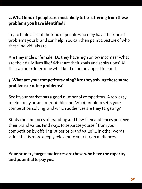## **2, What kind of people are most likely to be suffering from these problems you have identified?**

Try to build a list of the kind of people who may have the kind of problems your brand can help. You can then paint a picture of who these individuals are.

Are they male or female? Do they have high or low incomes? What are their daily lives like? What are their goals and aspirations? All this can help determine what kind of brand appeal to build.

## **3. What are your competitors doing? Are they solving these same problems or other problems?**

See if your market has a good number of competitors. A too-easy market may be an unprofitable one. What problem set is your competition solving, and which audiences are they targeting?

Study their nuances of branding and how their audiences perceive their brand value. Find ways to separate yourself from your competition by offering "superior brand value" … in other words, value that is more deeply relevant to your target audiences.

## **Your primary target audiences are those who have the capacity and potential to pay you**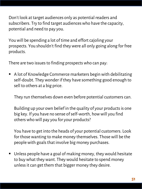Don't look at target audiences only as potential readers and subscribers. Try to find target audiences who have the capacity, potential and need to pay you.

You will be spending a lot of time and effort cajoling your prospects. You shouldn't find they were all only going along for free products.

There are two issues to finding prospects who can pay:

■ A lot of Knowledge Commerce marketers begin with debilitating self-doubt. They wonder if they have something good enough to sell to others at a big price.

They run themselves down even before potential customers can.

Building up your own belief in the quality of your products is one big key. If you have no sense of self-worth, how will you find others who will pay you for your products?

You have to get into the heads of your potential customers. Look for those wanting to make money themselves. Those will be the people with goals that involve big money purchases.

■ Unless people have a goal of making money, they would hesitate to buy what they want. They would hesitate to spend money unless it can get them that bigger money they desire.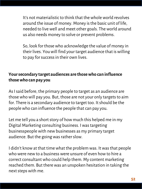It's not materialistic to think that the whole world revolves around the issue of money. Money is the basic unit of life, needed to live well and meet other goals. The world around us also needs money to solve or prevent problems.

So, look for those who acknowledge the value of money in their lives. You will find your target audience that is willing to pay for success in their own lives.

# **Your secondary target audiences are those who can influence those who can pay you**

As I said before, the primary people to target as an audience are those who will pay you. But, those are not your only targets to aim for. There is a secondary audience to target too. It should be the people who can influence the people that can pay you.

Let me tell you a short story of how much this helped me in my Digital Marketing consulting business. I was targeting businesspeople with new businesses as my primary target audience. But the going was rather slow.

I didn't know at that time what the problem was. It was that people who were new to a business were unsure of even how to hire a correct consultant who could help them. My content marketing reached them. But there was an unspoken hesitation in taking the next steps with me.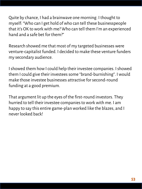Quite by chance, I had a brainwave one morning. I thought to myself: "Who can I get hold of who can tell these businesspeople that it's OK to work with me? Who can tell them I'm an experienced hand and a safe bet for them?"

Research showed me that most of my targeted businesses were venture-capitalist funded. I decided to make these venture funders my secondary audience.

I showed them how I could help their investee companies. I showed them I could give their investees some "brand-burnishing". I would make those investee businesses attractive for second-round funding at a good premium.

That argument lit up the eyes of the first-round investors. They hurried to tell their investee companies to work with me. I am happy to say this entire game-plan worked like the blazes, and I never looked back!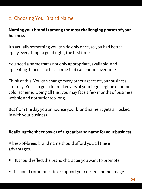# 2. Choosing Your Brand Name

## **Naming your brand is among the most challenging phases of your business**

It's actually something you can do only once, so you had better apply everything to get it right, the first time.

You need a name that's not only appropriate, available, and appealing. It needs to be a name that can endure over time.

Think of this. You can change every other aspect of your business strategy. You can go in for makeovers of your logo, tagline or brand color scheme. Doing all this, you may face a few months of business wobble and not suffer too long.

But from the day you announce your brand name, it gets all locked in with your business.

#### **Realizing the sheer power of a great brand name for your business**

A best-of-breed brand name should afford you all these advantages:

- It should reflect the brand character you want to promote.
- It should communicate or support your desired brand image.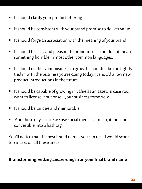- It should clarify your product offering.
- $\blacksquare$  It should be consistent with your brand promise to deliver value.
- $\blacksquare$  It should forge an association with the meaning of your brand.
- It should be easy and pleasant to pronounce. It should not mean something horrible in most other common languages.
- $\blacksquare$  It should enable your business to grow. It shouldn't be too tightly tied in with the business you're doing today. It should allow new product introductions in the future.
- $\blacksquare$  It should be capable of growing in value as an asset, in case you want to license it out or sell your business tomorrow.
- It should be unique and memorable.
- $\blacksquare$  And these days, since we use social media so much, it must be convertible into a hashtag.

You'll notice that the best brand names you can recall would score top marks on all these areas.

#### **Brainstorming, vetting and zeroing in on your final brand name**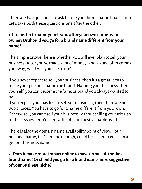There are two questions to ask before your brand name finalization. Let's take both these questions one after the other:

# **1. Is it better to name your brand after your own name as an owner? Or should you go for a brand name different from your name?**

The simple answer here is whether you will ever plan to sell your business. After you've made a lot of money, and a good offer comes your way, what will you like to do?

If you never expect to sell your business, then it's a great idea to make your personal name the brand. Naming your business after yourself, you can become the famous brand you always wanted to be.

If you expect you may like to sell your business, then there are no two choices. You have to go for a name different from your own. Otherwise, you can't sell your business without selling yourself also to the new owner. You are, after all, the most valuable asset.

There is also the domain name availability point of view. Your personal name, if it's unique enough, could be easier to get than a generic business name.

**2. Does it make more impact online to have an out-of-the-box brand name? Or should you go for a brand name more suggestive of your business niche?**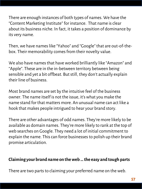There are enough instances of both types of names. We have the "Content Marketing Institute" for instance. That name is clear about its business niche. In fact, it takes a position of dominance by its very name.

Then, we have names like "Yahoo" and "Google" that are out-of-thebox. Their memorability comes from their novelty value.

We also have names that have worked brilliantly like "Amazon" and "Apple". These are in the in-between territory between being sensible and yet a bit offbeat. But still, they don't actually explain their line of business.

Most brand names are set by the intuitive feel of the business owner. The name itself is not the issue, it's what you make the name stand for that matters more. An unusual name can act like a hook that makes people intrigued to hear your brand story.

There are other advantages of odd names. They're more likely to be available as domain names. They're more likely to rank at the top of web searches on Google. They need a lot of initial commitment to explain the name. This can force businesses to polish up their brand promise articulation.

### **Claiming your brand name on the web … the easy and tough parts**

There are two parts to claiming your preferred name on the web.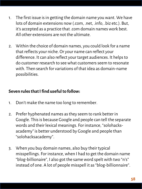- 1. The first issue is in getting the domain name you want. We have lots of domain extensions now (.com, .net, .info, .biz etc.). But, it's accepted as a practice that .com domain names work best. All other extensions are not the ultimate.
- 2. Within the choice of domain names, you could look for a name that reflects your niche. Or your name can reflect your difference. It can also reflect your target audiences. It helps to do customer research to see what customers seem to resonate with. Then search for variations of that idea as domain-name possibilities.

### **Seven rules that I find useful to follow:**

- 1. Don't make the name too long to remember.
- 2. Prefer hyphenated names as they seem to rank better in Google. This is because Google and people can tell the separate words and their lexical meanings. For instance, "solohacksacademy" is better understood by Google and people than "solohacksacademy".
- 3. When you buy domain names, also buy their typical misspellings. For instance, when I had to get the domain name "blog-billionaire", I also got the same word spelt with two "n's" instead of one. A lot of people misspell it as "blog-billionnaire".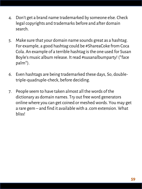- 4. Don't get a brand name trademarked by someone else. Check legal copyrights and trademarks before and after domain search.
- 5. Make sure that your domain name sounds great as a hashtag. For example, a good hashtag could be #ShareaCoke from Coca Cola. An example of a terrible hashtag is the one used for Susan Boyle's music album release. It read #susanalbumparty! (\*face palm\*).
- 6. Even hashtags are being trademarked these days, So, doubletriple-quadruple-check, before deciding.
- 7. People seem to have taken almost all the words of the dictionary as domain names. Try out free word generators online where you can get coined or meshed words. You may get a rare gem – and find it available with a .com extension. What bliss!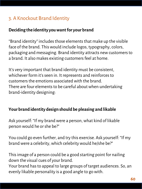# 3. A Knockout Brand Identity

### **Deciding the identity you want for your brand**

"Brand identity" includes those elements that make up the visible face of the brand. This would include logos, typography, colors, packaging and messaging. Brand identity attracts new customers to a brand. It also makes existing customers feel at home.

It's very important that brand identity must be consistent, whichever form it's seen in. It represents and reinforces to customers the emotions associated with the brand. There are four elements to be careful about when undertaking brand-identity designing:

#### **Your brand identity design should be pleasing and likable**

Ask yourself: "If my brand were a person, what kind of likable person would he or she be?"

You could go even further, and try this exercise. Ask yourself: "If my brand were a celebrity, which celebrity would he/she be?"

This image of a person could be a good starting point for nailing down the visual cues of your brand.

Your brand has to appeal to large groups of target audiences. So, an evenly likable personality is a good angle to go with.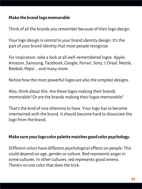#### **Make the brand logo memorable**

Think of all the brands you remember because of their logo design.

Your logo design is central to your brand identity design. It's the part of your brand identity that most people recognize.

For inspiration, take a look at all well-remembered logos. Apple, Amazon, Samsung, Facebook, Google, Ferrari, Sony, L'Oreal, Nestle, Reebok, Pepsi … and many more.

Notice how the most powerful logos are also the simplest designs.

Also, think about this. Are these logos making their brands memorable? Or are the brands making their logos memorable?

That's the kind of nice dilemma to have. Your logo has to become intertwined with the brand. It should become hard to dissociate the logo from the brand.

#### **Make sure your logo color palette matches good color psychology.**

Different colors have different psychological effects on people. This could depend on age, gender or culture. Red represents anger in some cultures. In other cultures, red represents good omens. There's no one color that does the trick.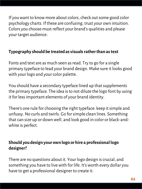If you want to know more about colors, check out some good color psychology charts. If these are confusing, trust your own intuition. Colors you choose must reflect your brand's qualities and please your target audience.

# **Typography should be treated as visuals rather than as text**

Fonts and text are as much seen as read. Try to go for a single primary typeface to lead your brand design. Make sure it looks good with your logo and your color palette.

You should have a secondary typeface lined up that supplements the primary typeface. The idea is to not dilute the logo font by using it for less important elements of your brand identity.

There's one rule for choosing the right typeface: keep it simple and unfussy. No curls and twirls. Go for simple clean lines. Something that can size up or down well, and look good in color or black-andwhite is perfect.

# **Should you design your own logo or hire a professional logo designer?**

There are no questions about it. Your logo design is crucial, and something you have to live with for life. It's worth every dollar you have to get a professional designer to create it.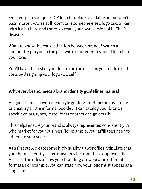Free templates or quick DIY logo templates available online won't pass muster. Worse still, don't take someone else's logo and tinker with it a bit here and there to create your own version of it. That's a disaster.

Want to know the real distinction between brands? Watch a competitor pip you to the post with a slicker professional logo than you have.

You'll have the rest of your life to rue the decision you made to cut costs by designing your logo yourself.

### **Why every brand needs a brand identity guidelines manual**

All good brands have a great style guide. Sometimes it's as simple as creating a little informal booklet. It can catalog your brand's specific colors, types, logos, fonts or other design details.

This helps ensure your brand is always represented consistently. All who market for your business (for example, your affiliates) need to adhere to your style.

As a first step, create some high-quality artwork files. Stipulate that your brand-identity usage must only be from these approved files. Also, list the rules of how your branding can appear in different formats. For example, you can state how your logo must appear as a single unit.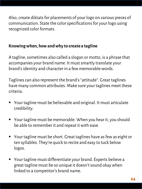Also, create diktats for placements of your logo on various pieces of communication. State the color specifications for your logo using recognized color formats.

## **Knowing when, how and why to create a tagline**

A tagline, sometimes also called a slogan or motto, is a phrase that accompanies your brand name. It must smartly translate your brand's identity and character in a few memorable words.

Taglines can also represent the brand's "attitude". Great taglines have many common attributes. Make sure your taglines meet these criteria:

- Your tagline must be believable and original. It must articulate credibility.
- Your tagline must be memorable. When you hear it, you should be able to remember it and repeat it with ease.
- Your tagline must be short. Great taglines have as few as eight or ten syllables. They're quick to recite and easy to tuck below logos.
- Your tagline must differentiate your brand. Experts believe a great tagline must be so unique it doesn't sound okay when linked to a competitor's brand name.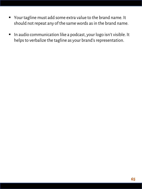- Your tagline must add some extra value to the brand name. It should not repeat any of the same words as in the brand name.
- In audio communication like a podcast, your logo isn't visible. It helps to verbalize the tagline as your brand's representation.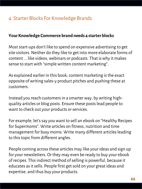# 4. Starter Blocks For Knowledge Brands

#### **Your Knowledge Commerce brand needs 4 starter blocks**

Most start-ups don't like to spend on expensive advertising to get site visitors. Neither do they like to get into more elaborate forms of content ... like videos, webinars or podcasts. That is why it makes sense to start with "simple written content marketing".

As explained earlier in this book, content marketing is the exact opposite of writing sales-y product pitches and pushing these at customers.

Instead you reach customers in a smarter way, by writing highquality articles or blog posts. Ensure these posts lead people to want to check out your products or services.

For example, let's say you want to sell an ebook on "Healthy Recipes for Supermoms". Write articles on fitness, nutrition and time management for busy moms. Write many different articles leading to this topic from different angles.

People coming across these articles may like your ideas and sign up for your newsletters. Or they may even be ready to buy your ebook of recipes. This indirect method of selling is powerful, because it educates as it sells. People first get sold on your great ideas and expertise, and thus buy your products.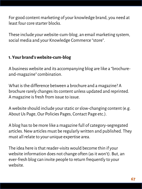For good content marketing of your knowledge brand, you need at least four core starter blocks.

These include your website-cum-blog, an email marketing system, social media and your Knowledge Commerce "store".

### **1. Your brand's website-cum-blog**

A business website and its accompanying blog are like a "brochureand-magazine" combination.

What is the difference between a brochure and a magazine? A brochure rarely changes its content unless updated and reprinted. A magazine is fresh from issue to issue.

A website should include your static or slow-changing content (e.g. About Us Page, Our Policies Pages, Contact Page etc.).

A blog has to be more like a magazine full of category-segregated articles. New articles must be regularly written and published. They must all relate to your unique expertise area.

The idea here is that reader-visits would become thin if your website information does not change often (as it won't). But, an ever-fresh blog can invite people to return frequently to your website.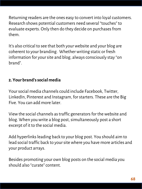Returning readers are the ones easy to convert into loyal customers. Research shows potential customers need several "touches" to evaluate experts. Only then do they decide on purchases from them.

It's also critical to see that both your website and your blog are coherent to your branding. Whether writing static or fresh information for your site and blog, always consciously stay "on brand".

# **2. Your brand's social media**

Your social media channels could include Facebook, Twitter, LinkedIn, Pinterest and Instagram, for starters. These are the Big Five. You can add more later.

View the social channels as traffic generators for the website and blog. When you write a blog post, simultaneously post a short excerpt of it to the social media.

Add hyperlinks leading back to your blog post. You should aim to lead social traffic back to your site where you have more articles and your product arrays.

Besides promoting your own blog posts on the social media you should also "curate" content.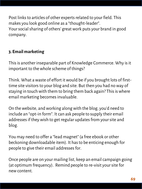Post links to articles of other experts related to your field. This makes you look good online as a "thought-leader". Your social sharing of others' great work puts your brand in good company.

# **3. Email marketing**

This is another inseparable part of Knowledge Commerce. Why is it important to the whole scheme of things?

Think. What a waste of effort it would be if you brought lots of firsttime site visitors to your blog and site. But then you had no way of staying in touch with them to bring them back again? This is where email marketing becomes invaluable.

On the website, and working along with the blog, you'd need to include an "opt-in form". It can ask people to supply their email addresses if they wish to get regular updates from your site and blog.

You may need to offer a "lead magnet" (a free ebook or other beckoning downloadable item). It has to be enticing enough for people to give their email addresses for.

Once people are on your mailing list, keep an email campaign going (at optimum frequency). Remind people to re-visit your site for new content.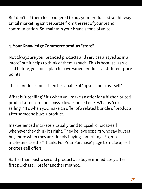But don't let them feel badgered to buy your products straightaway. Email marketing isn't separate from the rest of your brand communication. So, maintain your brand's tone of voice.

# **4. Your Knowledge Commerce product "store"**

Not always are your branded products and services arrayed as in a "store" but it helps to think of them as such. This is because, as we said before, you must plan to have varied products at different price points.

These products must then be capable of "upsell and cross-sell".

What is "upselling"? It's when you make an offer for a higher-priced product after someone buys a lower-priced one. What is "crossselling"? It's when you make an offer of a related bundle of products after someone buys a product.

Inexperienced marketers usually tend to upsell or cross-sell whenever they think it's right. They believe experts who say buyers buy more when they are already buying something. So, most marketers use the "Thanks For Your Purchase" page to make upsell or cross-sell offers.

Rather than push a second product at a buyer immediately after first purchase, I prefer another method.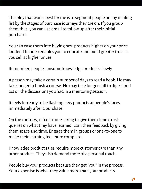The ploy that works best for me is to segment people on my mailing list by the stages of purchase journeys they are on. If you group them thus, you can use email to follow up after their initial purchases.

You can ease them into buying new products higher on your price ladder. This idea enables you to educate and build greater trust as you sell at higher prices.

Remember, people consume knowledge products slowly.

A person may take a certain number of days to read a book. He may take longer to finish a course. He may take longer still to digest and act on the discussions you had in a mentoring session.

It feels too early to be flashing new products at people's faces, immediately after a purchase.

On the contrary, it feels more caring to give them time to ask queries on what they have learned. Earn their feedback by giving them space and time. Engage them in groups or one-to-one to make their learning feel more complete.

Knowledge product sales require more customer care than any other product. They also demand more of a personal touch.

People buy your products because they get "you" in the process. Your expertise is what they value more than your products.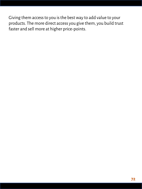Giving them access to you is the best way to add value to your products. The more direct access you give them, you build trust faster and sell more at higher price-points.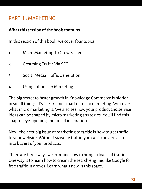# PART III: MARKETING

### **What this section of the book contains**

In this section of this book, we cover four topics:

- 1. Micro Marketing To Grow Faster
- 2. Creaming Traffic Via SEO
- 3. Social Media Traffic Generation
- 4. Using Influencer Marketing

The big secret to faster growth in Knowledge Commerce is hidden in small things. It's the art and smart of micro marketing. We cover what micro marketing is. We also see how your product and service ideas can be shaped by micro marketing strategies. You'll find this chapter eye-opening and full of inspiration.

Now, the next big issue of marketing to tackle is how to get traffic to your website. Without sizeable traffic, you can't convert visitors into buyers of your products.

There are three ways we examine how to bring in loads of traffic. One way is to learn how to cream the search engines like Google for free traffic in droves. Learn what's new in this space.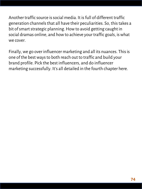Another traffic source is social media. It is full of different traffic generation channels that all have their peculiarities. So, this takes a bit of smart strategic planning. How to avoid getting caught in social dramas online, and how to achieve your traffic goals, is what we cover.

Finally, we go over influencer marketing and all its nuances. This is one of the best ways to both reach out to traffic and build your brand profile. Pick the best influencers, and do influencer marketing successfully. It's all detailed in the fourth chapter here.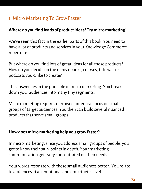# 1. Micro Marketing To Grow Faster

### **Where do you find loads of product ideas? Try micro marketing!**

We've seen this fact in the earlier parts of this book. You need to have a lot of products and services in your Knowledge Commerce repertoire.

But where do you find lots of great ideas for all those products? How do you decide on the many ebooks, courses, tutorials or podcasts you'd like to create?

The answer lies in the principle of micro marketing. You break down your audiences into many tiny segments.

Micro marketing requires narrowed, intensive focus on small groups of target audiences. You then can build several nuanced products that serve small groups.

#### **How does micro marketing help you grow faster?**

In micro marketing, since you address small groups of people, you get to know their pain-points in depth. Your marketing communication gets very concentrated on their needs.

Your words resonate with these small audiences better. You relate to audiences at an emotional and empathetic level.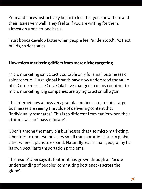Your audiences instinctively begin to feel that you know them and their issues very well. They feel as if you are writing for them, almost on a one-to-one basis.

Trust bonds develop faster when people feel "understood". As trust builds, so does sales.

## **How micro marketing differs from mere niche targeting**

Micro marketing isn't a tactic suitable only for small businesses or solopreneurs. Huge global brands have now understood the value of it. Companies like Coca Cola have changed in many countries to micro marketing. Big companies are trying to act small again.

The Internet now allows very granular audience segments. Large businesses are seeing the value of delivering content that "individually resonates". This is so different from earlier when their attitude was to "mass-educate".

Uber is among the many big businesses that use micro marketing. Uber tries to understand every small transportation issue in global cities where it plans to expand. Naturally, each small geography has its own peculiar transportation problems.

The result? Uber says its footprint has grown through an "acute understanding of peoples' commuting bottlenecks across the globe".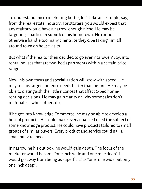To understand micro marketing better, let's take an example, say, from the real estate industry. For starters, you would expect that any realtor would have a narrow enough niche. He may be targeting a particular suburb of his hometown. He cannot otherwise handle too many clients, or they'd be taking him all around town on house visits.

But what if the realtor then decided to go even narrower? Say, into rental houses that are two-bed apartments within a certain price range.

Now, his own focus and specialization will grow with speed. He may see his target audience needs better than before. He may be able to distinguish the little nuances that affect 2-bed homerenting decisions. He may gain clarity on why some sales don't materialize, while others do.

If he got into Knowledge Commerce, he may be able to develop a host of products. He could make every nuanced need the subject of some knowledge product. He could have products tailored to small groups of similar buyers. Every product and service could nail a small but vital need.

In narrowing his outlook, he would gain depth. The focus of the marketer would become "one inch wide and one mile deep". It would go away from being as superficial as "one mile wide but only one inch deep".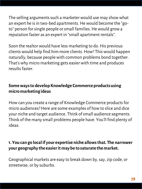The selling arguments such a marketer would use may show what an expert he is in two-bed apartments. He would become the "goto" person for single people or small families. He would grow a reputation faster as an expert in "small apartment rentals".

Soon the realtor would have less marketing to do. His previous clients would help find him more clients. How? This would happen naturally, because people with common problems bond together. That's why micro marketing gets easier with time and produces results faster.

# **Some ways to develop Knowledge Commerce products using micro marketing ideas**

How can you create a range of Knowledge Commerce products for micro audiences? Here are some examples of how to slice and dice your niche and target audience. Think of small audience segments. Think of the many small problems people have. You'll find plenty of ideas.

## **1. You can go local if your expertise niche allows that. The narrower your geography the easier it may be to saturate the market.**

Geographical markets are easy to break down by, say, zip code, or streetwise, or by suburbs.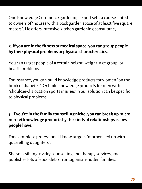One Knowledge Commerce gardening expert sells a course suited to owners of "houses with a back garden space of at least five square meters". He offers intensive kitchen gardening consultancy.

# **2. If you are in the fitness or medical space, you can group people by their physical problems or physical characteristics.**

You can target people of a certain height, weight, age group, or health problems.

For instance, you can build knowledge products for women "on the brink of diabetes". Or build knowledge products for men with "shoulder-dislocation sports injuries". Your solution can be specific to physical problems.

# **3. If you're in the family counselling niche, you can break up micro market knowledge products by the kinds of relationships issues people have.**

For example, a professional I know targets "mothers fed up with quarrelling daughters".

She sells sibling-rivalry counselling and therapy services, and publishes lots of ebooklets on antagonism-ridden families.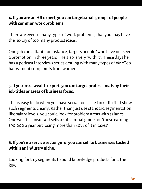### **4. If you are an HR expert, you can target small groups of people with common work problems.**

There are ever so many types of work problems, that you may have the luxury of too many product ideas.

One job consultant, for instance, targets people "who have not seen a promotion in three years". He also is very "with it". These days he has a podcast interviews series dealing with many types of #MeToo harassment complaints from women.

# **5. If you are a wealth expert, you can target professionals by their job titles or areas of business focus.**

This is easy to do when you have social tools like LinkedIn that show such segments clearly. Rather than just use standard segmentation like salary levels, you could look for problem areas with salaries. One wealth consultant sells a substantial guide for "those earning \$90,000 a year but losing more than 40% of it in taxes".

## **6. If you're a service sector guru, you can sell to businesses tucked within an industry niche.**

Looking for tiny segments to build knowledge products for is the key.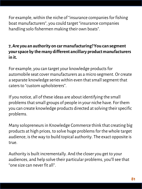For example, within the niche of "insurance companies for fishing boat manufacturers", you could target "insurance companies handling solo fishermen making their own boats".

# **7, Are you an authority on car manufacturing? You can segment your space by the many different ancillary product manufacturers in it.**

For example, you can target your knowledge products for automobile seat cover manufacturers as a micro segment. Or create a separate knowledge series within even that small segment that caters to "custom upholsterers".

If you notice, all of these ideas are about identifying the small problems that small groups of people in your niche have. For them you can create knowledge products directed at solving their specific problems.

Many solopreneurs in Knowledge Commerce think that creating big products at high prices, to solve huge problems for the whole target audience, is the way to build topical authority. The exact opposite is true.

Authority is built incrementally. And the closer you get to your audiences, and help solve their particular problems, you'll see that "one size can never fit all".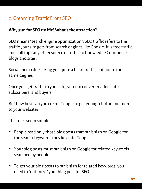# 2. Creaming Traffic From SEO

### **Why gun for SEO traffic? What's the attraction?**

SEO means "search engine optimization". SEO traffic refers to the traffic your site gets from search engines like Google. It is free traffic and still tops any other source of traffic to Knowledge Commerce blogs and sites.

Social media does bring you quite a bit of traffic, but not to the same degree.

Once you get traffic to your site, you can convert readers into subscribers, and buyers.

But how best can you cream Google to get enough traffic and more to your website?

The rules seem simple:

- People read only those blog posts that rank high on Google for the search keywords they key into Google.
- Your blog posts must rank high on Google for related keywords searched by people.
- To get your blog posts to rank high for related keywords, you need to "optimize" your blog post for SEO.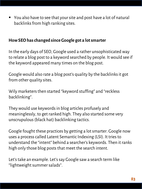■ You also have to see that your site and post have a lot of natural backlinks from high ranking sites.

### **How SEO has changed since Google got a lot smarter**

In the early days of SEO, Google used a rather unsophisticated way to relate a blog post to a keyword searched by people. It would see if the keyword appeared many times on the blog post.

Google would also rate a blog post's quality by the backlinks it got from other quality sites.

Wily marketers then started "keyword stuffing" and "reckless backlinking".

They would use keywords in blog articles profusely and meaninglessly, to get ranked high. They also started some very unscrupulous (black hat) backlinking tactics.

Google fought these practices by getting a lot smarter. Google now uses a process called Latent Semantic Indexing (LSI). It tries to understand the "intent" behind a searcher's keywords. Then it ranks high only those blog posts that meet the search intent.

Let's take an example. Let's say Google saw a search term like "lightweight summer salads".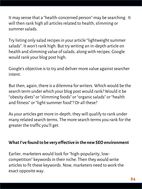It may sense that a "health-concerned person" may be searching. It will then rank high all articles related to health, slimming or summer salads.

Try listing only salad recipes in your article "lightweight summer salads". It won't rank high. But try writing an in-depth article on health and slimming value of salads, along with recipes. Google would rank your blog post high.

Google's objective is to try and deliver more value against searcher intent.

But then, again, there is a dilemma for writers. Which would be the search term under which your blog post would rank? Would it be "obesity diets" or "slimming foods" or "organic salads" or "health and fitness" or "light summer food"? Or all these?

As your articles get more in-depth, they will qualify to rank under many related search terms. The more search terms you rank for the greater the traffic you'll get.

#### **What I've found to be very effective in the new SEO environment**

Earlier, marketers would look for "high-popularity, lowcompetition" keywords in their niche. Then they would write articles to fit these keywords. Now, marketers need to work the exact opposite way.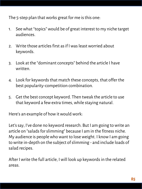The 5-step plan that works great for me is this one:

- 1. See what "topics" would be of great interest to my niche target audiences.
- 2. Write those articles first as if I was least worried about keywords.
- 3. Look at the "dominant concepts" behind the article I have written.
- 4. Look for keywords that match these concepts, that offer the best popularity-competition combination.
- 5. Get the best concept keyword. Then tweak the article to use that keyword a few extra times, while staying natural.

Here's an example of how it would work:

Let's say, I've done no keyword research. But I am going to write an article on "salads for slimming" because I am in the fitness niche. My audience is people who want to lose weight. I know I am going to write in-depth on the subject of slimming - and include loads of salad recipes.

After I write the full article, I will look up keywords in the related areas.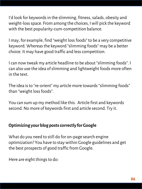I'd look for keywords in the slimming, fitness, salads, obesity and weight-loss space. From among the choices, I will pick the keyword with the best popularity-cum-competition balance.

I may, for example, find "weight loss foods" to be a very competitive keyword. Whereas the keyword "slimming foods" may be a better choice. It may have good traffic and less competition.

I can now tweak my article headline to be about "slimming foods". I can also use the idea of slimming and lightweight foods more often in the text.

The idea is to "re-orient" my article more towards "slimming foods" than "weight loss foods".

You can sum up my method like this. Article first and keywords second. No more of keywords first and article second. Try it.

### **Optimizing your blog posts correctly for Google**

What do you need to still do for on-page search engine optimization? You have to stay within Google guidelines and get the best prospects of good traffic from Google.

Here are eight things to do: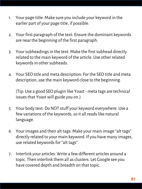- 1. Your page title: Make sure you include your keyword in the earlier part of your page title, if possible.
- 2. Your first paragraph of the text: Ensure the dominant keywords are near the beginning of the first paragraph.
- 3. Your subheadings in the text: Make the first subhead directly related to the main keyword of the article. Use other related keywords in other subheads.
- 4. Your SEO title and meta description: For the SEO title and meta description, use the main keyword close to the beginning.

(Tip: Use a good SEO plugin like Yoast - meta tags are technical issues that Yoast will guide you on.)

- 5. Your body text: Do NOT stuff your keyword everywhere. Use a few variations of the keywords, so it all reads like natural language.
- 6. Your images and their alt tags: Make your main image "alt tags" directly related to your main keyword. If you have many images, use related keywords for "alt tags".
- 7. Interlink your articles: Write a few different articles around a topic. Then interlink them all as clusters. Let Google see you have covered depth and breadth on that topic.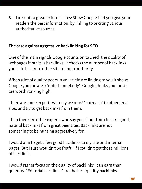8. Link out to great external sites: Show Google that you give your readers the best information, by linking to or citing various authoritative sources.

# **The case against aggressive backlinking for SEO**

One of the main signals Google counts on to check the quality of webpages it ranks is backlinks. It checks the number of backlinks your site has from other sites of high authority.

When a lot of quality peers in your field are linking to you it shows Google you too are a "noted somebody". Google thinks your posts are worth ranking high.

There are some experts who say we must "outreach" to other great sites and try to get backlinks from them.

Then there are other experts who say you should aim to earn good, natural backlinks from great peer sites. Backlinks are not something to be hunting aggressively for.

I would aim to get a few good backlinks to my site and internal pages. But I sure wouldn't be fretful if I couldn't get those millions of backlinks.

I would rather focus on the quality of backlinks I can earn than quantity. "Editorial backlinks" are the best quality backlinks.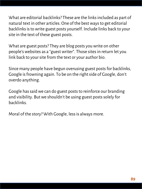What are editorial backlinks? These are the links included as part of natural text in other articles. One of the best ways to get editorial backlinks is to write guest posts yourself. Include links back to your site in the text of these guest posts.

What are guest posts? They are blog posts you write on other people's websites as a "guest writer". Those sites in return let you link back to your site from the text or your author bio.

Since many people have begun overusing guest posts for backlinks, Google is frowning again. To be on the right side of Google, don't overdo anything.

Google has said we can do guest posts to reinforce our branding and visibility. But we shouldn't be using guest posts solely for backlinks.

Moral of the story? With Google, less is always more.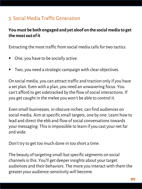# 3. Social Media Traffic Generation

# **You must be both engaged and yet aloof on the social media to get the most out of it**

Extracting the most traffic from social media calls for two tactics.

- One, you have to be socially active.
- Two, you need a strategic campaign with clear objectives.

On social media, you can attract traffic and traction only if you have a set plan. Even with a plan, you need an unwavering focus. You can't afford to get sidetracked by the flow of social interactions. If you get caught in the melee you won't be able to control it.

Even small businesses, in obscure niches, can find audiences on social media. Aim at specific small targets, one by one. Learn how to lead and direct the ebb and flow of social conversations towards your messaging. This is impossible to learn if you cast your net far and wide.

Don't try to get too much done in too short a time.

The beauty of targeting small but specific segments on social channels is this. You'll get deeper insights about your target audiences and their behaviors. The more you interact with them the greater your audience-sensitivity will become.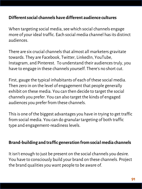### **Different social channels have different audience cultures**

When targeting social media, see which social channels engage more of your ideal traffic. Each social media channel has its distinct audiences.

There are six crucial channels that almost all marketers gravitate towards. They are Facebook, Twitter, LinkedIn, YouTube, Instagram, and Pinterest. To understand their audiences truly, you have to engage in these channels yourself. There's no short cut.

First, gauge the typical inhabitants of each of these social media. Then zero in on the level of engagement that people generally exhibit on these media. You can then decide to target the social channels you prefer. You can also target the kinds of engaged audiences you prefer from these channels.

This is one of the biggest advantages you have in trying to get traffic from social media. You can do granular targeting of both traffic type and engagement-readiness levels.

#### **Brand-building and traffic generation from social media channels**

It isn't enough to just be present on the social channels you desire. You have to consciously build your brand on these channels. Project the brand qualities you want people to be aware of.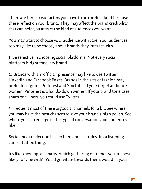There are three basic factors you have to be careful about because these reflect on your brand. They may affect the brand credibility that can help you attract the kind of audiences you want.

You may want to choose your audience with care. Your audiences too may like to be choosy about brands they interact with.

1. Be selective in choosing social platforms. Not every social platform is right for every brand.

2. Brands with an "official" presence may like to use Twitter, LinkedIn and Facebook Pages. Brands in the arts or fashion may prefer Instagram, Pinterest and YouTube. If your target audience is women, Pinterest is a hands-down winner. If your brand tone uses sharp one-liners, you could use Twitter.

3. Frequent most of these big social channels for a bit. See where you may have the best chances to give your brand a high polish. See where you can engage in the type of conversation your audiences like.

Social media selection has no hard and fast rules. It's a listeningcum-intuition thing.

It's like knowing, at a party, which gathering of friends you are best likely to "vibe with". You'd gravitate towards them, wouldn't you?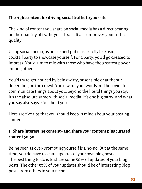# **The right content for driving social traffic to your site**

The kind of content you share on social media has a direct bearing on the quantity of traffic you attract. It also improves your traffic quality.

Using social media, as one expert put it, is exactly like using a cocktail party to showcase yourself. For a party, you'd go dressed to impress. You'd aim to mix with those who have the greatest power among others.

You'd try to get noticed by being witty, or sensible or authentic – depending on the crowd. You'd want your words and behavior to communicate things about you, beyond the literal things you say. It's the absolute same with social media. It's one big party, and what you say also says a lot about you.

Here are five tips that you should keep in mind about your posting content.

# **1. Share interesting content - and share your content plus curated content 50-50**

Being seen as over-promoting yourself is a no-no. But at the same time, you do have to share updates of your own blog posts. The best thing to do is to share some 50% of updates of your blog posts. The other 50% of your updates should be of interesting blog posts from others in your niche.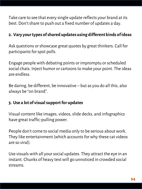Take care to see that every single update reflects your brand at its best. Don't share to push out a fixed number of updates a day.

# **2. Vary your types of shared updates using different kinds of ideas**

Ask questions or showcase great quotes by great thinkers. Call for participants for spot polls.

Engage people with debating points or impromptu or scheduled social chats. Inject humor or cartoons to make your point. The ideas are endless.

Be daring, be different, be innovative – but as you do all this, also always be "on brand".

# **3. Use a lot of visual support for updates**

Visual content like images, videos, slide decks, and infographics have great traffic-pulling power.

People don't come to social media only to be serious about work. They like entertainment (which accounts for why these cat videos are so viral).

Use visuals with all your social updates. They attract the eye in an instant. Chunks of heavy text will go unnoticed in crowded social streams.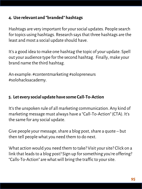### **4. Use relevant and "branded" hashtags**

Hashtags are very important for your social updates. People search for topics using hashtags. Research says that three hashtags are the least and most a social update should have.

It's a good idea to make one hashtag the topic of your update. Spell out your audience type for the second hashtag. Finally, make your brand name the third hashtag.

An example: #contentmarketing #solopreneurs #solohacksacademy.

# **5. Let every social update have some Call-To-Action**

It's the unspoken rule of all marketing communication. Any kind of marketing message must always have a "Call-To-Action" (CTA). It's the same for any social update.

Give people your message, share a blog post, share a quote – but then tell people what you need them to do next.

What action would you need them to take? Visit your site? Click on a link that leads to a blog post? Sign up for something you're offering? "Calls-To-Action" are what will bring the traffic to your site.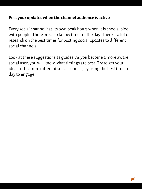#### **Post your updates when the channel audience is active**

Every social channel has its own peak hours when it is choc-a-bloc with people. There are also fallow times of the day. There is a lot of research on the best times for posting social updates to different social channels.

Look at these suggestions as guides. As you become a more aware social user, you will know what timings are best. Try to get your ideal traffic from different social sources, by using the best times of day to engage.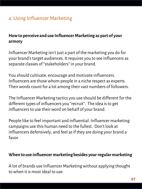# 4. Using Influencer Marketing

## **How to perceive and use Influencer Marketing as part of your armory**

Influencer Marketing isn't just a part of the marketing you do for your brand's target audiences. It requires you to see influencers as separate classes of "stakeholders" in your brand.

You should cultivate, encourage and motivate influencers. Influencers are those whom people in a niche respect as experts. Their words count for a lot among their vast numbers of followers.

The Influencer Marketing tactics you use should be different for the different types of influencers you "recruit". The idea is to get influencers to use their word on behalf of your brand.

People like to feel important and influential. Influencer marketing campaigns use this human need to the fullest. Don't look at influencers defensively, and feel as if they are doing your brand a favor.

#### **When to use influencer marketing besides your regular marketing**

A lot of brands use Influencer Marketing without applying thought to when it is most ideal to use.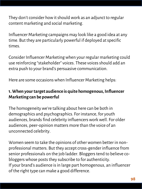They don't consider how it should work as an adjunct to regular content marketing and social marketing.

Influencer Marketing campaigns may look like a good idea at any time. But they are particularly powerful if deployed at specific times.

Consider Influencer Marketing when your regular marketing could use reinforcing "stakeholder" voices. These voices should add an extra push to your brand's persuasive communication.

Here are some occasions when Influencer Marketing helps:

# **1. When your target audience is quite homogenous, Influencer Marketing can be powerful**

The homogeneity we're talking about here can be both in demographics and psychographics. For instance, for youth audiences, brands find celebrity influencers work well. For older audiences, peer-opinion matters more than the voice of an unconnected celebrity.

Women seem to take the opinions of other women better in nonprofessional matters. But they accept cross-gender influence from senior professionals on the job ladder. Bloggers tend to believe cobloggers whose posts they subscribe to for authenticity. If your brand's audience is in large part homogenous, an influencer of the right type can make a good difference.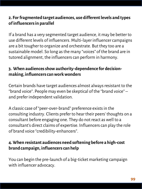### **2. For fragmented target audiences, use different levels and types of influencers in parallel**

If a brand has a very segmented target audience, it may be better to use different levels of influencers. Multi-layer influencer campaigns are a bit tougher to organize and orchestrate. But they too are a sustainable model. So long as the many "voices" of the brand are in tutored alignment, the influencers can perform in harmony.

## **3. When audiences show authority-dependence for decisionmaking, influencers can work wonders**

Certain brands have target audiences almost always resistant to the "brand voice". People may even be skeptical of the "brand voice" – and prefer independent validation.

A classic case of "peer-over-brand" preference exists in the consulting industry. Clients prefer to hear their peers' thoughts on a consultant before engaging one. They do not react as well to a consultant's direct claims of expertise. Influencers can play the role of brand voice "credibility-enhancers".

# **4. When resistant audiences need softening before a high-cost brand campaign, influencers can help**

You can begin the pre-launch of a big-ticket marketing campaign with influencer advocacy.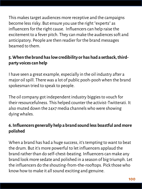This makes target audiences more receptive and the campaigns become less risky. But ensure you use the right "experts" as influencers for the right cause. Influencers can help raise the excitement to a fever pitch. They can make the audiences soft and anticipatory. People are then readier for the brand messages beamed to them.

# **5. When the brand has low credibility or has had a setback, thirdparty voices can help**

I have seen a great example, especially in the oil industry after a major oil spill. There was a lot of public pooh-pooh when the brand spokesman tried to speak to people.

The oil company got independent industry biggies to vouch for their resourcefulness. This helped counter the activist-Twitterati. It also muted down the 24x7 media channels who were showing dying whales.

# **6. Influencers generally help a brand sound less boastful and more polished**

When a brand has had a huge success, it's tempting to want to beat the drum. But it's more powerful to let influencers applaud the brand rather than do self-chest-beating. Influencers can make any brand look more sedate and polished in a season of big triumph. Let the influencers do the shouting-from-the-rooftops. Pick those who know how to make it all sound exciting and genuine.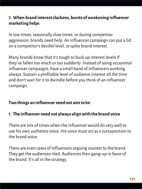# **7. When brand interest slackens, bursts of awakening influencer marketing helps**

In low times, seasonally slow times, or during competitor aggression, brands need help. An influencer campaign can put a lid on a competitor's decibel level, or spike brand interest.

Many brands know that it's tough to buck up interest levels if they've fallen too much or too suddenly. Instead of using occasional influencer campaigns, have a small band of influencers working always. Sustain a profitable level of audience interest all the time and don't wait for it to dwindle before you think of an influencer campaign.

# **Two things an influencer need not aim to be**

### **1. The influencer need not always align with the brand voice**

There are lots of times when the influencer would do very well to use his own authentic voice. His voice must act as a juxtaposition to the brand voice.

There are even cases of influencers arguing counter to the brand. They get the audiences riled. Audiences then gang-up in favor of the brand. It's all in the strategy.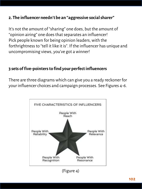### **2. The influencer needn't be an "aggressive social sharer"**

It's not the amount of "sharing" one does, but the amount of "opinion airing" one does that separates an influencer! Pick people known for being opinion leaders, with the forthrightness to "tell it like it is". If the influencer has unique and uncompromising views, you've got a winner!

#### **3 sets of five-pointers to find your perfect influencers**

There are three diagrams which can give you a ready reckoner for your influencer choices and campaign processes. See Figures 4-6.

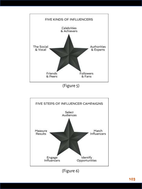

(Figure 5)



(Figure 6)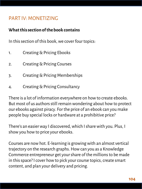# PART IV: MONETIZING

### **What this section of the book contains**

In this section of this book, we cover four topics:

- 1. Creating & Pricing Ebooks
- 2. Creating & Pricing Courses
- 3. Creating & Pricing Memberships
- 4. Creating & Pricing Consultancy

There is a lot of information everywhere on how to create ebooks. But most of us authors still remain wondering about how to protect our ebooks against piracy. For the price of an ebook can you make people buy special locks or hardware at a prohibitive price?

There's an easier way I discovered, which I share with you. Plus, I show you how to price your ebooks.

Courses are now hot. E-learning is growing with an almost vertical trajectory on the research graphs. How can you as a Knowledge Commerce entrepreneur get your share of the millions to be made in this space? I cover how to pick your course topics, create smart content, and plan your delivery and pricing.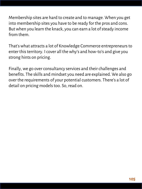Membership sites are hard to create and to manage. When you get into membership sites you have to be ready for the pros and cons. But when you learn the knack, you can earn a lot of steady income from them.

That's what attracts a lot of Knowledge Commerce entrepreneurs to enter this territory. I cover all the why's and how-to's and give you strong hints on pricing.

Finally, we go over consultancy services and their challenges and benefits. The skills and mindset you need are explained. We also go over the requirements of your potential customers. There's a lot of detail on pricing models too. So, read on.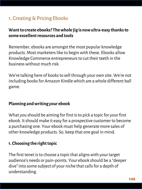# 1. Creating & Pricing Ebooks

## **Want to create ebooks? The whole jig is now ultra-easy thanks to some excellent resources and tools**

Remember, ebooks are amongst the most popular knowledge products. Most marketers like to begin with these. Ebooks allow Knowledge Commerce entrepreneurs to cut their teeth in the business without much risk.

We're talking here of books to sell through your own site. We're not including books for Amazon Kindle which are a whole different ball game.

#### **Planning and writing your ebook**

What you should be aiming for first is to pick a topic for your first ebook. It should make it easy for a prospective customer to become a purchasing one. Your ebook must help generate more sales of other knowledge products. So, keep that one goal in mind.

#### **1. Choosing the right topic**

The first tenet is to choose a topic that aligns with your target audience's needs or pain-points. Your ebook should be a "deeper dive" into some subject of your niche that calls for a depth of understanding.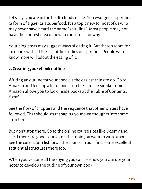Let's say, you are in the health foods niche. You evangelize spirulina (a form of algae) as a superfood. It's a topic new to most of us who may never have heard the name "spirulina". Most people may not have the faintest idea of how to consume it or why.

Your blog posts may suggest ways of eating it. But there's room for an ebookwith all the scientific studies on spirulina. People who know more will adopt the eating of it.

### **2. Creating your ebook outline**

Writing an outline for your ebook is the easiest thing to do. Go to Amazon and look up a lot of books on the same or similar topics. Amazon allows you to look inside books at the Table of Contents, right?

See the flow of chapters and the sequence that other writers have followed. That should start shaping your own thoughts into some structure.

But don't stop there. Go to the online course sites like Udemy and see if there are good courses on the topic you want to write about. See the curriculum list for all the courses. You'll find some excellent sequential structures there too.

When you've done all the spying you can, see how you can use your notes to develop the outline of your own book.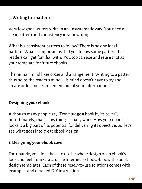#### **3. Writing to a pattern**

Very few good writers write in an unsystematic way. You need a clear pattern and consistency in your writing.

What is a consistent pattern to follow? There is no one ideal pattern. What is important is that you follow some pattern that readers can get familiar with. You too can use and reuse that as your template for future ebooks.

The human mind likes order and arrangement. Writing to a pattern thus helps the reader's mind. His mind doesn't have to try and create order and arrangement out of your information.

### **Designing your ebook**

Although many people say "Don't judge a book by its cover", unfortunately, that's how things usually work. How your ebook looks is a big part of its potential for delivering its objective. So, let's see what goes into great ebook design.

### **1. Designing your ebook cover**

Fortunately, you don't have to do the whole design of an ebook's look and feel from scratch. The Internet is choc-a-bloc with ebook design templates. Each of these ready-to-use solutions comes with examples and detailed DIY instructions.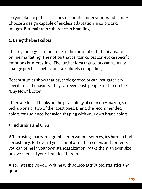Do you plan to publish a series of ebooks under your brand name? Choose a design capable of endless adaptation in colors and images. But maintain coherence in branding.

## **2. Using the best colors**

The psychology of color is one of the most talked-about areas of online marketing. The notion that certain colors can evoke specific emotions is interesting. The further idea that colors can actually change purchase behavior is absolutely compelling.

Recent studies show that psychology of color can instigate very specific user behaviors. They can even push people to click on the "Buy Now" button.

There are lots of books on the psychology of color on Amazon, so pick up one or two of the latest ones. Blend the recommended colors for audience-behavior-shaping with your own brand colors.

### **3. Inclusions and CTAs**

When using charts and graphs from various sources, it's hard to find consistency. But even if you cannot alter their colors and contents, you can bring in your own standardization. Make them an even size, or give them all your "branded" border.

Also, intersperse your writing with source-attributed statistics and quotes.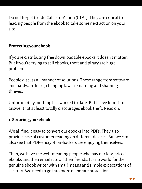Do not forget to add Calls-To-Action (CTAs). They are critical to leading people from the ebook to take some next action on your site.

# **Protecting your ebook**

If you're distributing free downloadable ebooks it doesn't matter. But if you're trying to sell ebooks, theft and piracy are huge problems.

People discuss all manner of solutions. These range from software and hardware locks, changing laws, or naming and shaming thieves.

Unfortunately, nothing has worked to date. But I have found an answer that at least totally discourages ebook theft. Read on.

### **1. Securing your ebook**

We all find it easy to convert our ebooksinto PDFs. They also provide ease of customer reading on different devices. But we can also see that PDF-encryption-hackers are enjoying themselves.

Then, we have the well-meaning people who buy our low-priced ebooks and then email it to all their friends. It's no world for the genuine ebook writer with small means and simple expectations of security. We need to go into more elaborate protection.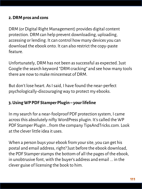#### **2. DRM pros and cons**

DRM (or Digital Right Management) provides digital content protection. DRM can help prevent downloading, uploading, accessing or lending. It can control how many devices you can download the ebook onto. It can also restrict the copy-paste feature.

Unfortunately, DRM has not been as successful as expected. Just Google the search keyword "DRM cracking" and see how many tools there are now to make mincemeat of DRM.

But don't lose heart. As I said, I have found the near-perfect psychologically-discouraging way to protect my ebooks.

### **3. Using WP PDF Stamper Plugin – your lifeline**

In my search for a near-foolproof PDF protection system, I came across this absolutely nifty WordPress plugin. It's called the WP PDF Stamper Plugin …from the company TipsAndTricks.com. Look at the clever little idea it uses.

When a person buys your ebook from your site, you can get his postal and email address, right? Just before the ebook download, the PDF Stamper stamps the bottom of all the pages of the ebook, in unobtrusive font, with the buyer's address and email ... in the clever guise of licensing the book to him.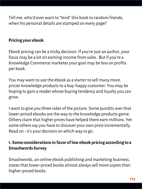Tell me, who'd ever want to "lend" this book to random friends, when his personal details are stamped on every page?

### **Pricing your ebook**

Ebook pricing can be a tricky decision. If you're just an author, your focus may be a lot on earning income from sales. But if you're a Knowledge Commerce marketer your goal may be less on profits per book.

You may want to use the ebook as a starter to sell many more, pricier knowledge products to a buy-happy customer. You may be hoping to gain a reader whose buying tendency and loyalty you can grow.

I want to give you three sides of the picture. Some pundits aver that lower-priced ebooks are the way to the knowledge products game. Others claim that higher prices have helped them earn millions. Yet some others say you have to discover your own price incrementally. Read on - it's your decision on which way to go.

### **1. Some considerations in favor of low ebook pricing according to a Smashwords Survey**

Smashwords, an online ebook publishing and marketing business, states that lower-priced books almost always sell more copies than higher-priced books.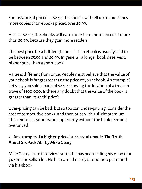For instance, if priced at \$2.99 the ebooks will sell up to four times more copies than ebooks priced over \$9.99.

Also, at \$2.99, the ebooks will earn more than those priced at more than \$9.99, because they gain more readers.

The best price for a full-length non-fiction ebook is usually said to be between \$5.99 and \$9.99. In general, a longer book deserves a higher price than a short book.

Value is different from price. People must believe that the value of your ebook is far greater than the price of your ebook. An example? Let's say you sold a book of \$2.99 showing the location of a treasure trove of \$100,000. Is there any doubt that the value of the book is greater than its shelf-price?

Over-pricing can be bad, but so too can under-pricing. Consider the cost of competitive books, and then price with a slight premium. This reinforces your brand-superiority without the book seeming overpriced.

# **2. An example of a higher-priced successful ebook: The Truth About Six Pack Abs by Mike Geary**

Mike Geary, in an interview, states he has been selling his ebook for \$47 and he sells a lot. He has earned nearly \$1,000,000 per month via his ebook.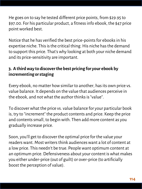He goes on to say he tested different price points, from \$29.95 to \$97.00. For his particular product, a fitness info ebook, the \$47 price point worked best.

Notice that he has verified the best price-points for ebooksin his expertise niche. This is the critical thing. His niche has the demand to support this price. That's why looking at both your niche demand and its price-sensitivity are important.

# **3. A third way to discover the best pricing for your ebook by incrementing or staging**

Every ebook, no matter how similar to another, has its own price vs. value balance. It depends on the value that audiences perceive in the ebook, and not what the author thinks is "value".

To discover what the price vs. value balance for your particular book is, try to "increment" the product contents and price. Keep the price and contents small, to begin with. Then add more content as you gradually increase price.

Soon, you'll get to discover the optimal price for the value your readers want. Most writers think audiences want a lot of content at a low price. This needn't be true. People want optimum content at an optimum price. Defensiveness about your content is what makes you either under-price (out of guilt) or over-price (to artificially boost the perception of value).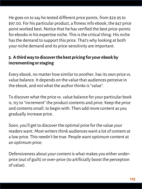He goes on to say he tested different price points, from \$29.95 to \$97.00. For his particular product, a fitness info ebook, the \$47 price point worked best. Notice that he has verified the best price-points for ebooks in his expertise niche. This is the critical thing. His niche has the demand to support this price. That's why looking at both your niche demand and its price-sensitivity are important.

# **3. A third way to discover the best pricing for your ebook by incrementing or staging**

Every ebook, no matter how similar to another, has its own price vs. value balance. It depends on the value that audiences perceive in the ebook, and not what the author thinks is "value".

To discover what the price vs. value balance for your particular book is, try to "increment" the product contents and price. Keep the price and contents small, to begin with. Then add more content as you gradually increase price.

Soon, you'll get to discover the optimal price for the value your readers want. Most writers think audiences want a lot of content at a low price. This needn't be true. People want optimum content at an optimum price.

Defensiveness about your content is what makes you either underprice (out of guilt) or over-price (to artificially boost the perception of value).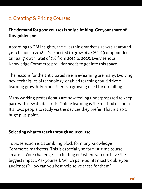# 2. Creating & Pricing Courses

# **The demand for good courses is only climbing. Get your share of this golden pie**

According to GM Insights, the e-learning market size was at around \$190 billion in 2018. It's expected to grow at a CAGR (compounded annual growth rate) of 7% from 2019 to 2025. Every serious Knowledge Commerce provider needs to get into this space.

The reasons for the anticipated rise in e-learning are many. Evolving new techniques of technology-enabled teaching could drive elearning growth. Further, there's a growing need for upskilling.

Many working professionals are now feeling underprepared to keep pace with new digital skills. Online learning is the method of choice. It allows people to study via the devices they prefer. That is also a huge plus-point.

#### **Selecting what to teach through your course**

Topic selection is a stumbling block for many Knowledge Commerce marketers. This is especially so for first-time course creators. Your challenge is in finding out where you can have the biggest impact. Ask yourself. Which pain-points most trouble your audiences'? How can you best help solve these for them?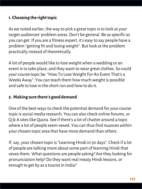### **1. Choosing the right topic**

As we noted earlier, the way to pick a great topic is to look at your target audiences' problem areas. Don't be general. Be as specific as you can get. If you are a fitness expert, it's easy to say people have a problem "getting fit and losing weight". But look at the problem practically instead of theoretically.

A lot of people would like to lose weight when a wedding or an event is to take place, and they want to wear great clothes. So could your course topic be: "How To Lose Weight For An Event That's 4 Weeks Away". You can teach them how much weight is possible and safe to lose in the short run and how to do it.

#### **2. Making sure there's good demand**

One of the best ways to check the potential demand for your course topic is social media research. You can also check online forums, or Q & A sites like Quora. See if there's a lot of chatter around a topic where a lot of people seem vexed. You can thus find nuances within your chosen topic area that have more demand than others.

If, say, your chosen topic is "Learning Hindi in 30 days". Check if a lot of people are talking more about some part of learning Hindi that vexes them. What questions are people asking? Are they looking for pronunciation help? Do they want real meaty Hindi lessons, or enough to get by as a tourist in India?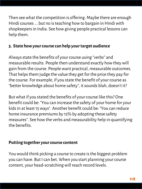Then see what the competition is offering. Maybe there are enough Hindi courses ... but no is teaching how to bargain in Hindi with shopkeepers in India. See how giving people practical lessons can help them.

# **3. State how your course can help your target audience**

Always state the benefits of your course using "verbs" and measurable results. People then understand exactly how they will gain from the course. People want practical, measurable outcomes. That helps them judge the value they get for the price they pay for the course. For example, if you state the benefit of your course as "better knowledge about home safety", it sounds blah, doesn't it?

But what if you stated the benefits of your course like this? One benefit could be: "You can increase the safety of your home for your kids in at least 15 ways". Another benefit could be: "You can reduce home insurance premiums by 15% by adopting these safety measures". See how the verbs and measurability help in quantifying the benefits.

#### **Putting together your course content**

You would think picking a course to create is the biggest problem you can have. But I can bet. When you start planning your course content, your head-scratching will reach record levels.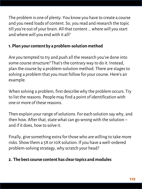The problem is one of plenty. You know you have to create a course and you need loads of content. So, you read and research the topic till you're out of your brain. All that content … where will you start and where will you end with it all?

# **1. Plan your content by a problem-solution method**

Are you tempted to try and push all the research you've done into some course structure? That's the contrary way to do it. Instead, plan the course by a problem-solution method. There are stages to solving a problem that you must follow for your course. Here's an example.

When solving a problem, first describe why the problem occurs. Try to list the reasons. People may find a point of identification with one or more of these reasons.

Then explain your range of solutions. For each solution say why, and then how. After that, state what can go wrong with the solution  $$ and if it does, how to solve it.

Finally, give something extra for those who are willing to take more risks. Show them a 5X or 10X solution. If you have a well-ordered problem-solving strategy, why scratch your head?

# **2. The best course content has clear topics and modules**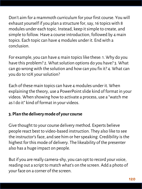Don't aim for a mammoth curriculum for your first course. You will exhaust yourself if you plan a structure for, say, 16 topics with 8 modules under each topic. Instead, keep it simple to create, and simple to follow. Have a course introduction, followed by 4 main topics. Each topic can have 4 modules under it. End with a conclusion.

For example, you can have 4 main topics like these: 1. Why do you have this problem? 2. What solution options do you have? 3. What can go wrong with the solution and how can you fix it? 4. What can you do to 10X your solution?

Each of these main topics can have 4 modules under it. When explaining the theory, use a PowerPoint slide kind of format in your videos. When showing how to activate a process, use a "watch me as I do it" kind of format in your videos.

# **3. Plan the delivery mode of your course**

Give thought to your course delivery method. Experts believe people react best to video-based instruction. They also like to see the instructor's face, and see him or her speaking. Credibility is the highest for this mode of delivery. The likeability of the presenter also has a huge impact on people.

But if you are really camera-shy, you can opt to record your voice, reading out a script to match what's on the screen. Add a photo of your face on a corner of the screen.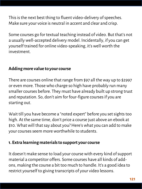This is the next best thing to fluent video-delivery of speeches. Make sure your voice is neutral in accent and clear and crisp.

Some courses go for textual teaching instead of video. But that's not a usually well-accepted delivery model. Incidentally, if you can get yourself trained for online video-speaking, it's well worth the investment.

### **Adding more value to your course**

There are courses online that range from \$97 all the way up to \$2997 or even more. Those who charge so high have probably run many smaller courses before. They must have already built up strong trust and reputation. So, don't aim for four-figure courses if you are starting out.

Wait till you have become a "noted expert" before you set sights too high. At the same time, don't price a course just above an ebook at \$10. What will that say about you? Here's what you can add to make your courses seem more worthwhile to students.

#### **1. Extra learning materials to support your course**

It doesn't make sense to load your course with every kind of support material a competitor offers. Some courses have all kinds of addons, making the course a bit too much to handle. It's a good idea to restrict yourself to giving transcripts of your video lessons.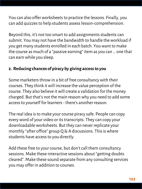You can also offer worksheets to practice the lessons. Finally, you can add quizzes to help students assess lesson-comprehension.

Beyond this, it's not too smart to add assignments students can submit. You may not have the bandwidth to handle the workload if you get many students enrolled in each batch. You want to make the course as much of a "passive earning" item as you can … one that can earn while you sleep.

### **2. Reducing chances of piracy by giving access to you**

Some marketers throw in a bit of free consultancy with their courses. They think it will increase the value perception of the course. They also believe it will create a validation for the money charged. But that's not the main reason why you need to add some access to yourself for learners - there's another reason.

The real idea is to make your course piracy safe. People can copy every word of your video or its transcripts. They can copy your downloadable worksheets. But they can never replicate your monthly "after office" group Q & A discussions. This is where students have access to you directly.

Add these free to your course, but don't call them consultancy sessions. Make these interactive sessions about "getting doubts cleared". Make these sound separate from any consulting services you may offer in addition to courses.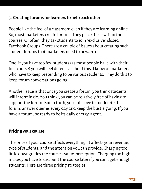#### **3. Creating forums for learners to help each other**

People like the feel of a classroom even if they are learning online. So, most marketers create forums. They place these within their courses. Or often, they ask students to join "exclusive" closed Facebook Groups. There are a couple of issues about creating such student forums that marketers need to beware of.

One, if you have too few students (as most people have with their first course) you will feel defensive about this. I know of marketers who have to keep pretending to be various students. They do this to keep forum conversations going.

Another issue is that once you create a forum, you think students will intermingle. You think you can be relatively free of having to support the forum. But in truth, you still have to moderate the forum, answer queries every day and keep the bustle going. If you have a forum, be ready to be its daily energy-agent.

#### **Pricing your course**

The price of your course affects everything. It affects your revenue, type of students, and the attention you can provide. Charging too little downgrades the course's value-perception. Charging too high makes you have to discount the course later if you can't get enough students. Here are three pricing strategies.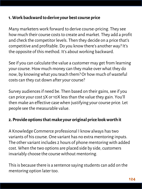#### **1. Work backward to derive your best course price**

Many marketers work forward to derive course-pricing. They see how much their course costs to create and market. They add a profit and check the competitor levels. Then they decide on a price that's competitive and profitable. Do you know there's another way? It's the opposite of this method. It's about working backward.

See if you can calculate the value a customer may get from learning your course. How much money can they make over what they do now, by knowing what you teach them? Or how much of wasteful costs can they cut down after your course?

Survey audiences if need be. Then based on their gains, see if you can price your cost 5X or 10X less than the value they gain. You'll then make an effective case when justifying your course price. Let people see the measurable value.

### **2. Provide options that make your original price look worth it**

A Knowledge Commerce professional I know always has two variants of his course. One variant has no extra mentoring inputs. The other variant includes 2 hours of phone mentoring with added cost. When the two options are placed side by side, customers invariably choose the course without mentoring.

This is because there is a sentence saying students can add on the mentoring option later too.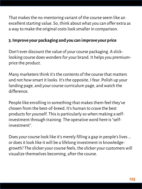That makes the no-mentoring variant of the course seem like an excellent starting value. So, think about what you can offer extra as a way to make the original costs look smaller in comparison.

### **3. Improve your packaging and you can improve your price**

Don't ever discount the value of your course packaging. A slicklooking course does wonders for your brand. It helps you premiumprice the product.

Many marketers think it's the contents of the course that matters and not how smart it looks. It's the opposite, I fear. Polish up your landing page, and your course curriculum page, and watch the difference.

People like enrolling in something that makes them feel they've chosen from the best-of-breed. It's human to crave the best products for yourself. This is particularly so when making a selfinvestment through training. The operative word here is "selfinvestment".

Does your course look like it's merely filling a gap in people's lives … or does it look like it will be a lifelong investment in knowledgegrowth? The slicker your course feels, the slicker your customers will visualize themselves becoming, after the course.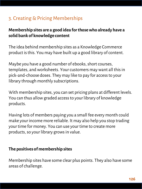# 3. Creating & Pricing Memberships

# **Membership sites are a good idea for those who already have a solid bank of knowledge content**

The idea behind membership sites as a Knowledge Commerce product is this. You may have built up a good library of content.

Maybe you have a good number of ebooks, short courses, templates, and worksheets. Your customers may want all this in pick-and-choose doses. They may like to pay for access to your library through monthly subscriptions.

With membership sites, you can set pricing plans at different levels. You can thus allow graded access to your library of knowledge products.

Having lots of members paying you a small fee every month could make your income more reliable. It may also help you stop trading your time for money. You can use your time to create more products, so your library grows in value.

#### **The positives of membership sites**

Membership sites have some clear plus points. They also have some areas of challenge.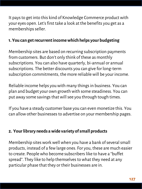It pays to get into this kind of Knowledge Commerce product with your eyes open. Let's first take a look at the benefits you get as a memberships seller.

### **1. You can get recurrent income which helps your budgeting**

Membership sites are based on recurring subscription payments from customers. But don't only think of these as monthly subscriptions. You can also have quarterly, bi-annual or annual subscriptions. The better discounts you can give for long-term subscription commitments, the more reliable will be your income.

Reliable income helps you with many things in business. You can plan and budget your own growth with some steadiness. You can put away some savings that will see you through tough times.

If you have a steady customer base you can even monetize this. You can allow other businesses to advertise on your membership pages.

### **2. Your library needs a wide variety of small products**

Membership sites work well when you have a bank of several small products, instead of a few large ones. For you, these are much easier to create. People who become subscribers like to have a "buffet spread". They like to help themselves to what they need at any particular phase that they or their businesses are in.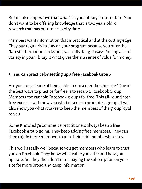But it's also imperative that what's in your library is up-to-date. You don't want to be offering knowledge that is two years old, or research that has outrun its expiry date.

Members want information that is practical and at the cutting edge. They pay regularly to stay on your program because you offer the "latest information hacks" in practically-taught ways. Seeing a lot of variety in your library is what gives them a sense of value for money.

### **3. You can practice by setting up a free Facebook Group**

Are you not yet sure of being able to run a membership site? One of the best ways to practice for free is to set up a Facebook Group. Members too can join Facebook groups for free. This all-round costfree exercise will show you what it takes to promote a group. It will also show you what it takes to keep the members of the group loyal to you.

Some Knowledge Commerce practitioners always keep a free Facebook group going. They keep adding free members. They can then cajole these members to join their paid membership sites.

This works really well because you get members who learn to trust you on Facebook. They know what value you offer and how you operate. So, they then don't mind paying the subscription on your site for more broad and deep information.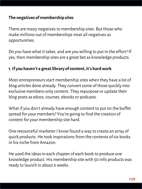### **The negatives of membership sites**

There are many negatives to membership sites. But those who make millions out of memberships treat all negatives as opportunities.

Do you have what it takes, and are you willing to put in the effort? If yes, then membership sites are a great bet as knowledge products.

#### **1. If you haven't a great library of content, it's hard work**

Most entrepreneurs start membership sites when they have a lot of blog articles done already. They convert some of those quickly into exclusive members-only content. They repurpose or update their blog posts as edocs, courses, ebooks or podcasts.

What if you don't already have enough content to put on the buffet spread for your members? You're going to find the creation of content for your membership site hard.

One resourceful marketer I know found a way to create an array of quick products. He took inspirations from the contents of six books in his niche from Amazon.

He used the ideas in each chapter of each book to produce one knowledge product. His membership site with 50 info products was ready to launch in about 6 weeks.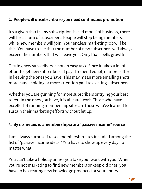#### **2. People will unsubscribe so you need continuous promotion**

It's a given that in any subscription-based model of business, there will be a churn of subscribers. People will stop being members, while new members will join. Your endless marketing job will be this. You have to see that the number of new subscribers will always exceed the numbers that will leave you. Only that spells growth.

Getting new subscribers is not an easy task. Since it takes a lot of effort to get new subscribers, it pays to spend equal, or more, effort in keeping the ones you have. This may mean more emailing shots, more hand-holding or more attention paid to existing subscribers.

Whether you are gunning for more subscribers or trying your best to retain the ones you have, it is all hard work. Those who have excelled at running membership sites are those who've learned to sustain their marketing efforts without let up.

#### **3. By no means is a membership site a "passive income" source**

I am always surprised to see membership sites included among the list of "passive income ideas." You have to show up every day no matter what.

You can't take a holiday unless you take your work with you. When you're not marketing to find new members or keep old ones, you have to be creating new knowledge products for your library.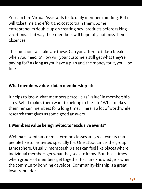You can hire Virtual Assistants to do daily member-minding. But it will take time and effort and cost to train them. Some entrepreneurs double up on creating new products before taking vacations. That way their members will hopefully not miss their absences.

The questions at stake are these. Can you afford to take a break when you need it? How will your customers still get what they're paying for? As long as you have a plan and the money for it, you'll be fine.

# **What members value a lot in membership sites**

It helps to know what members perceive as "value" in membership sites. What makes them want to belong to the site? What makes them remain members for a long time? There is a lot of worthwhile research that gives us some good answers.

### **1. Members value being invited to "exclusive events"**

Webinars, seminars or mastermind classes are great events that people like to be invited specially for. One attractant is the group atmosphere. Usually, membership sites can feel like places where individual members get what they seek to know. But those times when groups of members get together to share knowledge is when the community bonding develops. Community-kinship is a great loyalty-builder.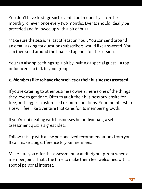You don't have to stage such events too frequently. It can be monthly, or even once every two months. Events should ideally be preceded and followed up with a bit of buzz.

Make sure the sessions last at least an hour. You can send around an email asking for questions subscribers would like answered. You can then send around the finalized agenda for the session.

You can also spice things up a bit by inviting a special guest – a top influencer – to talk to your group.

### **2. Members like to have themselves or their businesses assessed**

If you're catering to other business owners, here's one of the things they love to get done. Offer to audit their business or website for free, and suggest customized recommendations. Your membership site will feel like a venture that cares for its members' growth.

If you're not dealing with businesses but individuals, a selfassessment quiz is a great idea.

Follow this up with a few personalized recommendations from you. It can make a big difference to your members.

Make sure you offer this assessment or audit right upfront when a member joins. That's the time to make them feel welcomed with a spot of personal interest.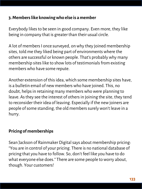#### **3. Members like knowing who else is a member**

Everybody likes to be seen in good company. Even more, they like being in company that is greater than their usual circle.

A lot of members I once surveyed, on why they joined membership sites, told me they liked being part of environments where the others are successful or known people. That's probably why many membership sites like to show lots of testimonials from existing members who have some repute.

Another extension of this idea, which some membership sites have, is a bulletin email of new members who have joined. This, no doubt, helps in retaining many members who were planning to leave. As they see the interest of others in joining the site, they tend to reconsider their idea of leaving. Especially if the new joiners are people of some standing, the old members surely won't leave in a hurry.

### **Pricing of memberships**

Sean Jackson of Rainmaker Digital says about membership pricing: "You are in control of your pricing. There is no national database of pricing that you have to follow. So, don't feel like you have to do what everyone else does." There are some people to worry about, though. Your customers!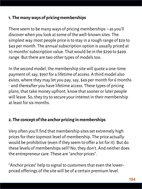### **1. The many ways of pricing memberships**

There seem to be many ways of pricing memberships – as you'll discover when you look at some of the well-known sites. The simplest way most people price is to stay in a rough range of \$29 to \$49 per month. The annual subscription option is usually priced at 10 months' subscription value. That would be in the \$299 to \$499 range. But there are two other types of models too.

In the second model, the membership site will quote a one-time payment of, say, \$997 for a lifetime of access. A third model also exists, where they may let you pay, say, \$49 per month for 6 months - and thereafter you have lifetime access. These types of pricing plans, that take money upfront, know that sooner or later people will leave. So, they try to secure your interest in their membership at least for six months.

### **2. The concept of the anchor pricing in memberships**

Very often you'll find that membership sites set extremely high prices for their topmost level of membership. The price actually would be prohibitive (even if they seem to offer a lot for it). But do these levels of memberships sell? No, they don't. And neither does the entrepreneur care. These are "anchor prices".

"Anchor prices" help to signal to customers that even the lowerpriced offerings of the site will be of a certain premium level.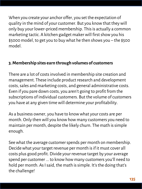When you create your anchor offer, you set the expectation of quality in the mind of your customer. But you know that they will only buy your lower-priced membership. This is actually a common marketing tactic. A kitchen gadget maker will first show you his \$5000 model, to get you to buy what he then shows you – the \$500 model.

## **3. Membership sites earn through volumes of customers**

There are a lot of costs involved in membership site creation and management. These include product research and development costs, sales and marketing costs, and general administrative costs. Even if you pare down costs, you aren't going to profit from the subscriptions of individual customers. But the volume of customers you have at any given time will determine your profitability.

As a business owner, you have to know what your costs are per month. Only then will you know how many customers you need to maintain per month, despite the likely churn. The math is simple enough.

See what the average customer spends per month on membership. Decide what your target revenue per month is if it must cover all costs plus good profit. Divide your revenue target by your average spend per customer ... to know how many customers you'll need to hold per month. As I said, the math is simple. It's the doing that's the challenge!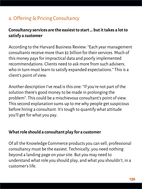# 4. Offering & Pricing Consultancy

# **Consultancy services are the easiest to start … but it takes a lot to satisfy a customer**

According to the Harvard Business Review: "Each year management consultants receive more than \$2 billion for their services. Much of this money pays for impractical data and poorly implemented recommendations. Clients need to ask more from such advisers, who in turn must learn to satisfy expanded expectations." This is a client's point of view.

Another description I've read is this one: "If you're not part of the solution there's good money to be made in prolonging the problem". This could be a mischievous consultant's point of view. This second explanation sums up to me why people get suspicious before hiring a consultant. It's tough to quantify what attitude you'll get for what you pay.

#### **What role should a consultant play for a customer**

Of all the Knowledge Commerce products you can sell, professional consultancy must be the easiest. Technically, you need nothing beyond a landing page on your site. But you may need to understand what role you should play, and what you shouldn't, in a customer's life.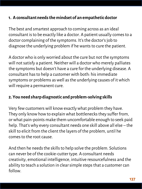#### **1. A consultant needs the mindset of an empathetic doctor**

The best and smartest approach to coming across as an ideal consultant is to be exactly like a doctor. A patient usually comes to a doctor complaining of the symptoms. It's the doctor's job to diagnose the underlying problem if he wants to cure the patient.

A doctor who is only worried about the cure but not the symptoms will not satisfy a patient. Neither will a doctor who merely palliates the symptoms but doesn't have a cure for the underlying disease. A consultant has to help a customer with both: his immediate symptoms or problems as well as the underlying causes of it which will require a permanent cure.

#### **2. You need sharp diagnostic and problem-solving skills**

Very few customers will know exactly what problem they have. They only know how to explain what bottlenecks they suffer from, or what pain-points make them uncomfortable enough to seek paid help. That's why every consultant needs one skill above all else – the skill to elicit from the client the layers of the problem, until he comes to the root cause.

And then he needs the skills to help solve the problem. Solutions can never be of the cookie-cutter type. A consultant needs creativity, emotional intelligence, intuitive resourcefulness and the ability to teach a solution in clear simple steps that a customer can follow.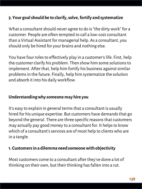### **3. Your goal should be to clarify, solve, fortify and systematize**

What a consultant should never agree to do is "the dirty work" for a customer. People are often tempted to call a low-cost consultant than a Virtual Assistant for managerial help. As a consultant, you should only be hired for your brains and nothing else.

You have four roles to effectively play in a customer's life. First, help the customer clarify his problem. Then show him some solutions to implement. After that, help him fortify his business against similar problems in the future. Finally, help him systematize the solution and absorb it into his daily workflow.

#### **Understanding why someone may hire you**

It's easy to explain in general terms that a consultant is usually hired for his unique expertise. But customers have demands that go beyond the general. There are three specific reasons that customers may actually pay good money to a consultant for. It helps to know which of a consultant's services are of most help to clients who are in a tangle.

#### **1. Customers in a dilemma need someone with objectivity**

Most customers come to a consultant after they've done a lot of thinking on their own, but their thinking has fallen into a rut.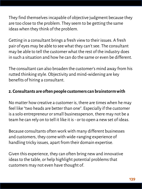They find themselves incapable of objective judgment because they are too close to the problem. They seem to be getting the same ideas when they think of the problem.

Getting in a consultant brings a fresh view to their issues. A fresh pair of eyes may be able to see what they can't see. The consultant may be able to tell the customer what the rest of the industry does in such a situation and how he can do the same or even be different.

The consultant can also broaden the customer's mind away from his rutted thinking style. Objectivity and mind-widening are key benefits of hiring a consultant.

### **2. Consultants are often people customers can brainstorm with**

No matter how creative a customer is, there are times when he may feel like "two heads are better than one". Especially if the customer is a solo entrepreneur or small businessperson, there may not be a team he can rely on to tell it like it is - or to open a new set of ideas.

Because consultants often work with many different businesses and customers, they come with wide-ranging experience of handling tricky issues, apart from their domain expertise.

Given this experience, they can often bring new and innovative ideas to the table, or help highlight potential problems that customers may not even have thought of.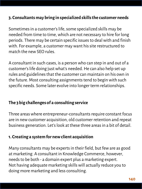#### **3. Consultants may bring in specialized skills the customer needs**

Sometimes in a customer's life, some specialized skills may be needed from time to time, which are not necessary to hire for long periods. There may be certain specific issues to deal with and finish with. For example, a customer may want his site restructured to match the new SEO rules.

A consultant in such cases, is a person who can step in and out of a customer's life doing just what's needed. He can also help set up rules and guidelines that the customer can maintain on his own in the future. Most consulting assignments tend to begin with such specific needs. Some later evolve into longer term relationships.

#### **The 3 big challenges of a consulting service**

Three areas where entrepreneur-consultants require constant focus are in new customer acquisition, old customer retention and repeat business generation. Let's look at these three areas in a bit of detail.

#### **1. Creating a system for new client acquisition**

Many consultants may be experts in their field, but few are as good at marketing. A consultant in Knowledge Commerce, however, needs to be both - a domain expert plus a marketing expert. Not having adequate marketing skills will actually reduce you to doing more marketing and less consulting.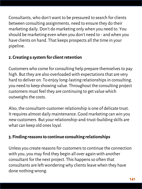Consultants, who don't want to be pressured to search for clients between consulting assignments, need to ensure they do their marketing daily. Don't do marketing only when you need to. You should be marketing even when you don't need to - and when you have clients on hand. That keeps prospects all the time in your pipeline.

## **2. Creating a system for client retention**

Customers who come for consulting help prepare themselves to pay high. But they are also overloaded with expectations that are very hard to deliver on. To enjoy long-lasting relationships in consulting, you need to keep showing value. Throughout the consulting project customers must feel they are continuing to get value which outweighs the costs.

Also, the consultant-customer relationship is one of delicate trust. It requires almost daily maintenance. Good marketing can win you new customers. But your relationship-and-trust-building skills are what can keep old ones loyal.

### **3. Finding reasons to continue consulting relationships**

Unless you create reasons for customers to continue the connection with you, you may find they begin all over again with another consultant for the next project. This happens so often that consultants are left wondering why clients leave when they have done nothing wrong.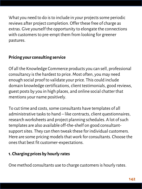What you need to do is to include in your projects some periodic reviews after project completion. Offer these free of charge as extras. Give yourself the opportunity to elongate the connections with customers to pre-empt them from looking for greener pastures.

# **Pricing your consulting service**

Of all the Knowledge Commerce products you can sell, professional consultancy is the hardest to price. Most often, you may need enough social proof to validate your price. This could include domain knowledge certifications, client testimonials, good reviews, guest posts by you in high places, and online social chatter that mentions your name positively.

To cut time and costs, some consultants have templates of all administrative tasks to hand – like contracts, client questionnaires, research worksheets and project planning schedules. A lot of such templates are also available off-the-shelf on good consultantsupport sites. They can then tweak these for individual customers. Here are some pricing models that work for consultants. Choose the ones that best fit customer-expectations.

# **1. Charging prices by hourly rates**

One method consultants use to charge customers is hourly rates.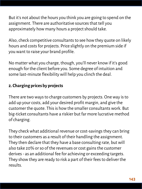But it's not about the hours you think you are going to spend on the assignment. There are authoritative sources that tell you approximately how many hours a project should take.

Also, check competitive consultants to see how they quote on likely hours and costs for projects. Price slightly on the premium side if you want to raise your brand profile.

No matter what you charge, though, you'll never know if it's good enough for the client before you. Some degree of intuition and some last-minute flexibility will help you clinch the deal.

# **2. Charging prices by projects**

There are two ways to charge customers by projects. One way is to add up your costs, add your desired profit margin, and give the customer the quote. This is how the smaller consultants work. But big-ticket consultants have a riskier but far more lucrative method of charging.

They check what additional revenue or cost-savings they can bring to their customers as a result of their handling the assignment. They then declare that they have a base consulting rate, but will also take 20% or so of the revenues or cost gains the customer derives - as an additional fee for achieving or exceeding targets. They show they are ready to risk a part of their fees to deliver the results.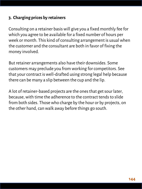### **3. Charging prices by retainers**

Consulting on a retainer basis will give you a fixed monthly fee for which you agree to be available for a fixed number of hours per week or month. This kind of consulting arrangement is usual when the customer and the consultant are both in favor of fixing the money involved.

But retainer arrangements also have their downsides. Some customers may preclude you from working for competitors. See that your contract is well-drafted using strong legal help because there can be many a slip between the cup and the lip.

A lot of retainer-based projects are the ones that get sour later, because, with time the adherence to the contract tends to slide from both sides. Those who charge by the hour or by projects, on the other hand, can walk away before things go south.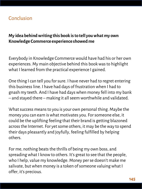## Conclusion

## **My idea behind writing this book is to tell you what my own Knowledge Commerce experience showed me**

Everybody in Knowledge Commerce would have had his or her own experiences. My main objective behind this book was to highlight what I learned from the practical experience I gained.

One thing I can tell you for sure. I have never had to regret entering this business line. I have had days of frustration when I had to gnash my teeth. And I have had days when money fell into my bank – and stayed there – making it all seem worthwhile and validated.

What success means to you is your own personal thing. Maybe the money you can earn is what motivates you. For someone else, it could be the uplifting feeling that their brand is getting blazoned across the Internet. For yet some others, it may be the way to spend their days pleasantly and joyfully, feeling fulfilled by helping others.

For me, nothing beats the thrills of being my own boss, and spreading what I know to others. It's great to see that the people, who I help, value my knowledge. Money per se doesn't make me salivate, but when money is a token of someone valuing what I offer, it's precious.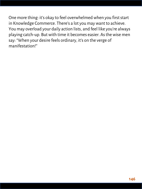One more thing: it's okay to feel overwhelmed when you first start in Knowledge Commerce. There's a lot you may want to achieve. You may overload your daily action lists, and feel like you're always playing catch-up. But with time it becomes easier. As the wise men say: "When your desire feels ordinary, it's on the verge of manifestation!"